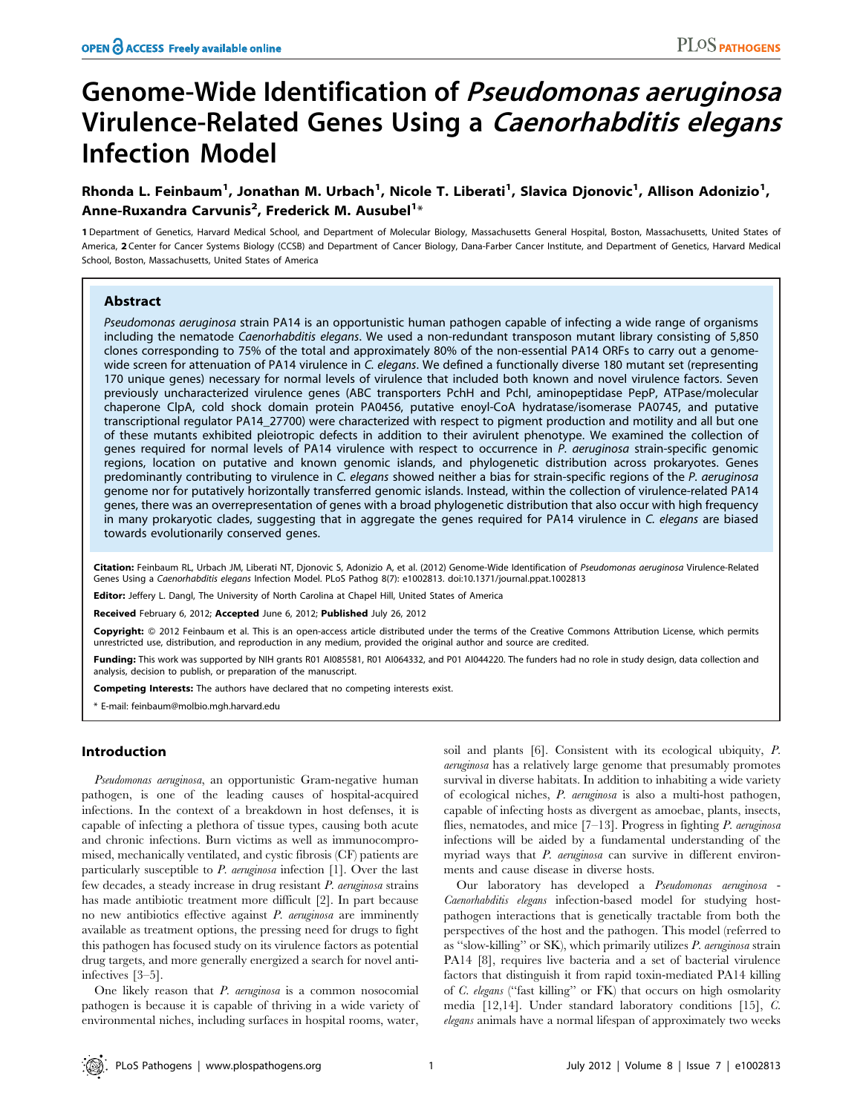# Genome-Wide Identification of Pseudomonas aeruginosa Virulence-Related Genes Using a Caenorhabditis elegans Infection Model

## Rhonda L. Feinbaum<sup>1</sup>, Jonathan M. Urbach<sup>1</sup>, Nicole T. Liberati<sup>1</sup>, Slavica Djonovic<sup>1</sup>, Allison Adonizio<sup>1</sup>, Anne-Ruxandra Carvunis<sup>2</sup>, Frederick M. Ausubel<sup>1</sup>\*

1 Department of Genetics, Harvard Medical School, and Department of Molecular Biology, Massachusetts General Hospital, Boston, Massachusetts, United States of America, 2 Center for Cancer Systems Biology (CCSB) and Department of Cancer Biology, Dana-Farber Cancer Institute, and Department of Genetics, Harvard Medical School, Boston, Massachusetts, United States of America

## Abstract

Pseudomonas aeruginosa strain PA14 is an opportunistic human pathogen capable of infecting a wide range of organisms including the nematode Caenorhabditis elegans. We used a non-redundant transposon mutant library consisting of 5,850 clones corresponding to 75% of the total and approximately 80% of the non-essential PA14 ORFs to carry out a genomewide screen for attenuation of PA14 virulence in C. elegans. We defined a functionally diverse 180 mutant set (representing 170 unique genes) necessary for normal levels of virulence that included both known and novel virulence factors. Seven previously uncharacterized virulence genes (ABC transporters PchH and PchI, aminopeptidase PepP, ATPase/molecular chaperone ClpA, cold shock domain protein PA0456, putative enoyl-CoA hydratase/isomerase PA0745, and putative transcriptional regulator PA14\_27700) were characterized with respect to pigment production and motility and all but one of these mutants exhibited pleiotropic defects in addition to their avirulent phenotype. We examined the collection of genes required for normal levels of PA14 virulence with respect to occurrence in P. aeruginosa strain-specific genomic regions, location on putative and known genomic islands, and phylogenetic distribution across prokaryotes. Genes predominantly contributing to virulence in C. elegans showed neither a bias for strain-specific regions of the P. aeruginosa genome nor for putatively horizontally transferred genomic islands. Instead, within the collection of virulence-related PA14 genes, there was an overrepresentation of genes with a broad phylogenetic distribution that also occur with high frequency in many prokaryotic clades, suggesting that in aggregate the genes required for PA14 virulence in C. elegans are biased towards evolutionarily conserved genes.

Citation: Feinbaum RL, Urbach JM, Liberati NT, Djonovic S, Adonizio A, et al. (2012) Genome-Wide Identification of Pseudomonas aeruginosa Virulence-Related Genes Using a Caenorhabditis elegans Infection Model. PLoS Pathog 8(7): e1002813. doi:10.1371/journal.ppat.1002813

Editor: Jeffery L. Dangl, The University of North Carolina at Chapel Hill, United States of America

Received February 6, 2012; Accepted June 6, 2012; Published July 26, 2012

Copyright: © 2012 Feinbaum et al. This is an open-access article distributed under the terms of the Creative Commons Attribution License, which permits unrestricted use, distribution, and reproduction in any medium, provided the original author and source are credited.

Funding: This work was supported by NIH grants R01 AI085581, R01 AI064332, and P01 AI044220. The funders had no role in study design, data collection and analysis, decision to publish, or preparation of the manuscript.

Competing Interests: The authors have declared that no competing interests exist.

\* E-mail: feinbaum@molbio.mgh.harvard.edu

## Introduction

Pseudomonas aeruginosa, an opportunistic Gram-negative human pathogen, is one of the leading causes of hospital-acquired infections. In the context of a breakdown in host defenses, it is capable of infecting a plethora of tissue types, causing both acute and chronic infections. Burn victims as well as immunocompromised, mechanically ventilated, and cystic fibrosis (CF) patients are particularly susceptible to P. aeruginosa infection [1]. Over the last few decades, a steady increase in drug resistant  $P$ . aeruginosa strains has made antibiotic treatment more difficult [2]. In part because no new antibiotics effective against  $P$ . *aeruginosa* are imminently available as treatment options, the pressing need for drugs to fight this pathogen has focused study on its virulence factors as potential drug targets, and more generally energized a search for novel antiinfectives [3–5].

One likely reason that *P. aeruginosa* is a common nosocomial pathogen is because it is capable of thriving in a wide variety of environmental niches, including surfaces in hospital rooms, water,

soil and plants [6]. Consistent with its ecological ubiquity, P. aeruginosa has a relatively large genome that presumably promotes survival in diverse habitats. In addition to inhabiting a wide variety of ecological niches, P. aeruginosa is also a multi-host pathogen, capable of infecting hosts as divergent as amoebae, plants, insects, flies, nematodes, and mice [7–13]. Progress in fighting P. aeruginosa infections will be aided by a fundamental understanding of the myriad ways that *P. aeruginosa* can survive in different environments and cause disease in diverse hosts.

Our laboratory has developed a Pseudomonas aeruginosa - Caenorhabditis elegans infection-based model for studying hostpathogen interactions that is genetically tractable from both the perspectives of the host and the pathogen. This model (referred to as ''slow-killing'' or SK), which primarily utilizes P. aeruginosa strain PA14 [8], requires live bacteria and a set of bacterial virulence factors that distinguish it from rapid toxin-mediated PA14 killing of C. elegans (''fast killing'' or FK) that occurs on high osmolarity media [12,14]. Under standard laboratory conditions [15], C. elegans animals have a normal lifespan of approximately two weeks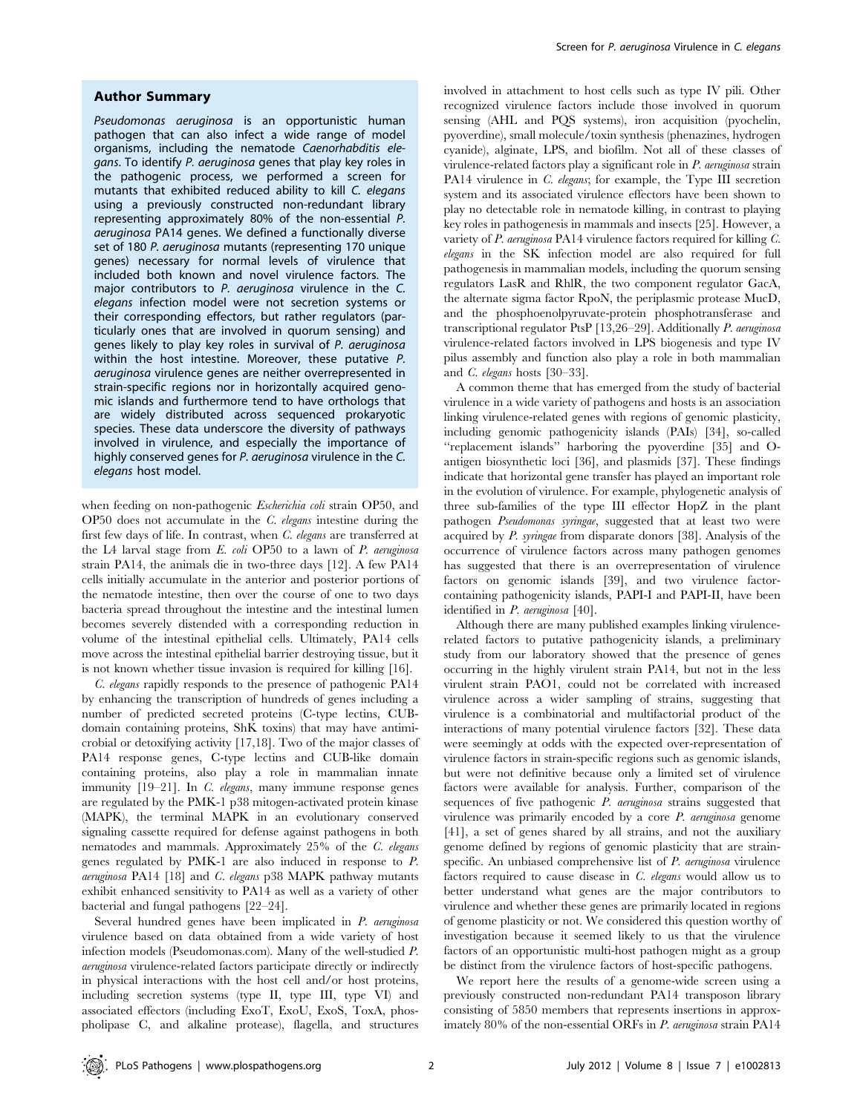#### Author Summary

Pseudomonas aeruginosa is an opportunistic human pathogen that can also infect a wide range of model organisms, including the nematode Caenorhabditis elegans. To identify P. aeruginosa genes that play key roles in the pathogenic process, we performed a screen for mutants that exhibited reduced ability to kill C. elegans using a previously constructed non-redundant library representing approximately 80% of the non-essential P. aeruginosa PA14 genes. We defined a functionally diverse set of 180 P. aeruginosa mutants (representing 170 unique genes) necessary for normal levels of virulence that included both known and novel virulence factors. The major contributors to P. aeruginosa virulence in the C. elegans infection model were not secretion systems or their corresponding effectors, but rather regulators (particularly ones that are involved in quorum sensing) and genes likely to play key roles in survival of P. aeruginosa within the host intestine. Moreover, these putative P. aeruginosa virulence genes are neither overrepresented in strain-specific regions nor in horizontally acquired genomic islands and furthermore tend to have orthologs that are widely distributed across sequenced prokaryotic species. These data underscore the diversity of pathways involved in virulence, and especially the importance of highly conserved genes for P. aeruginosa virulence in the C. elegans host model.

when feeding on non-pathogenic Escherichia coli strain OP50, and OP50 does not accumulate in the C. elegans intestine during the first few days of life. In contrast, when C. elegans are transferred at the L4 larval stage from  $E.$  coli OP50 to a lawn of  $P.$  aeruginosa strain PA14, the animals die in two-three days [12]. A few PA14 cells initially accumulate in the anterior and posterior portions of the nematode intestine, then over the course of one to two days bacteria spread throughout the intestine and the intestinal lumen becomes severely distended with a corresponding reduction in volume of the intestinal epithelial cells. Ultimately, PA14 cells move across the intestinal epithelial barrier destroying tissue, but it is not known whether tissue invasion is required for killing [16].

C. elegans rapidly responds to the presence of pathogenic PA14 by enhancing the transcription of hundreds of genes including a number of predicted secreted proteins (C-type lectins, CUBdomain containing proteins, ShK toxins) that may have antimicrobial or detoxifying activity [17,18]. Two of the major classes of PA14 response genes, C-type lectins and CUB-like domain containing proteins, also play a role in mammalian innate immunity [19–21]. In C. elegans, many immune response genes are regulated by the PMK-1 p38 mitogen-activated protein kinase (MAPK), the terminal MAPK in an evolutionary conserved signaling cassette required for defense against pathogens in both nematodes and mammals. Approximately 25% of the C. elegans genes regulated by PMK-1 are also induced in response to P. aeruginosa PA14 [18] and C. elegans p38 MAPK pathway mutants exhibit enhanced sensitivity to PA14 as well as a variety of other bacterial and fungal pathogens [22–24].

Several hundred genes have been implicated in *P. aeruginosa* virulence based on data obtained from a wide variety of host infection models (Pseudomonas.com). Many of the well-studied P. aeruginosa virulence-related factors participate directly or indirectly in physical interactions with the host cell and/or host proteins, including secretion systems (type II, type III, type VI) and associated effectors (including ExoT, ExoU, ExoS, ToxA, phospholipase C, and alkaline protease), flagella, and structures

involved in attachment to host cells such as type IV pili. Other recognized virulence factors include those involved in quorum sensing (AHL and PQS systems), iron acquisition (pyochelin, pyoverdine), small molecule/toxin synthesis (phenazines, hydrogen cyanide), alginate, LPS, and biofilm. Not all of these classes of virulence-related factors play a significant role in P. aeruginosa strain PA14 virulence in C. elegans; for example, the Type III secretion system and its associated virulence effectors have been shown to play no detectable role in nematode killing, in contrast to playing key roles in pathogenesis in mammals and insects [25]. However, a variety of P. aeruginosa PA14 virulence factors required for killing C. elegans in the SK infection model are also required for full pathogenesis in mammalian models, including the quorum sensing regulators LasR and RhlR, the two component regulator GacA, the alternate sigma factor RpoN, the periplasmic protease MucD, and the phosphoenolpyruvate-protein phosphotransferase and transcriptional regulator PtsP [13,26–29]. Additionally P. aeruginosa virulence-related factors involved in LPS biogenesis and type IV pilus assembly and function also play a role in both mammalian and *C. elegans* hosts [30–33].

A common theme that has emerged from the study of bacterial virulence in a wide variety of pathogens and hosts is an association linking virulence-related genes with regions of genomic plasticity, including genomic pathogenicity islands (PAIs) [34], so-called ''replacement islands'' harboring the pyoverdine [35] and Oantigen biosynthetic loci [36], and plasmids [37]. These findings indicate that horizontal gene transfer has played an important role in the evolution of virulence. For example, phylogenetic analysis of three sub-families of the type III effector HopZ in the plant pathogen Pseudomonas syringae, suggested that at least two were acquired by P. syringae from disparate donors [38]. Analysis of the occurrence of virulence factors across many pathogen genomes has suggested that there is an overrepresentation of virulence factors on genomic islands [39], and two virulence factorcontaining pathogenicity islands, PAPI-I and PAPI-II, have been identified in P. aeruginosa [40].

Although there are many published examples linking virulencerelated factors to putative pathogenicity islands, a preliminary study from our laboratory showed that the presence of genes occurring in the highly virulent strain PA14, but not in the less virulent strain PAO1, could not be correlated with increased virulence across a wider sampling of strains, suggesting that virulence is a combinatorial and multifactorial product of the interactions of many potential virulence factors [32]. These data were seemingly at odds with the expected over-representation of virulence factors in strain-specific regions such as genomic islands, but were not definitive because only a limited set of virulence factors were available for analysis. Further, comparison of the sequences of five pathogenic P. aeruginosa strains suggested that virulence was primarily encoded by a core P. aeruginosa genome [41], a set of genes shared by all strains, and not the auxiliary genome defined by regions of genomic plasticity that are strainspecific. An unbiased comprehensive list of *P. aeruginosa* virulence factors required to cause disease in C. elegans would allow us to better understand what genes are the major contributors to virulence and whether these genes are primarily located in regions of genome plasticity or not. We considered this question worthy of investigation because it seemed likely to us that the virulence factors of an opportunistic multi-host pathogen might as a group be distinct from the virulence factors of host-specific pathogens.

We report here the results of a genome-wide screen using a previously constructed non-redundant PA14 transposon library consisting of 5850 members that represents insertions in approximately 80% of the non-essential ORFs in P. aeruginosa strain PA14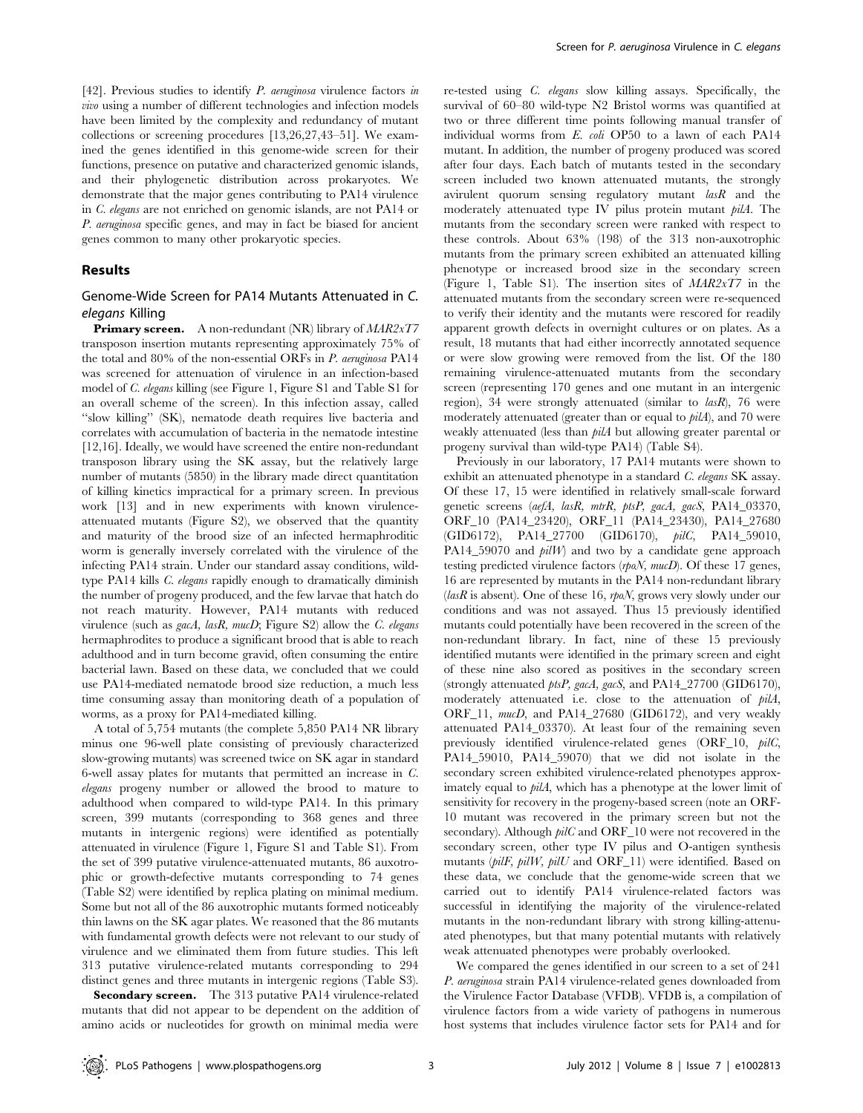[42]. Previous studies to identify  $P$ . aeruginosa virulence factors in vivo using a number of different technologies and infection models have been limited by the complexity and redundancy of mutant collections or screening procedures [13,26,27,43–51]. We examined the genes identified in this genome-wide screen for their functions, presence on putative and characterized genomic islands, and their phylogenetic distribution across prokaryotes. We demonstrate that the major genes contributing to PA14 virulence in C. elegans are not enriched on genomic islands, are not PA14 or P. aeruginosa specific genes, and may in fact be biased for ancient genes common to many other prokaryotic species.

### Results

## Genome-Wide Screen for PA14 Mutants Attenuated in C. elegans Killing

**Primary screen.** A non-redundant (NR) library of  $MAR2xT7$ transposon insertion mutants representing approximately 75% of the total and 80% of the non-essential ORFs in P. aeruginosa PA14 was screened for attenuation of virulence in an infection-based model of C. elegans killing (see Figure 1, Figure S1 and Table S1 for an overall scheme of the screen). In this infection assay, called ''slow killing'' (SK), nematode death requires live bacteria and correlates with accumulation of bacteria in the nematode intestine [12,16]. Ideally, we would have screened the entire non-redundant transposon library using the SK assay, but the relatively large number of mutants (5850) in the library made direct quantitation of killing kinetics impractical for a primary screen. In previous work [13] and in new experiments with known virulenceattenuated mutants (Figure S2), we observed that the quantity and maturity of the brood size of an infected hermaphroditic worm is generally inversely correlated with the virulence of the infecting PA14 strain. Under our standard assay conditions, wildtype PA14 kills C. elegans rapidly enough to dramatically diminish the number of progeny produced, and the few larvae that hatch do not reach maturity. However, PA14 mutants with reduced virulence (such as  $\mathit{gacA}$ ,  $\mathit{lasR}$ ,  $\mathit{mucD}$ ; Figure S2) allow the C. elegans hermaphrodites to produce a significant brood that is able to reach adulthood and in turn become gravid, often consuming the entire bacterial lawn. Based on these data, we concluded that we could use PA14-mediated nematode brood size reduction, a much less time consuming assay than monitoring death of a population of worms, as a proxy for PA14-mediated killing.

A total of 5,754 mutants (the complete 5,850 PA14 NR library minus one 96-well plate consisting of previously characterized slow-growing mutants) was screened twice on SK agar in standard 6-well assay plates for mutants that permitted an increase in C. elegans progeny number or allowed the brood to mature to adulthood when compared to wild-type PA14. In this primary screen, 399 mutants (corresponding to 368 genes and three mutants in intergenic regions) were identified as potentially attenuated in virulence (Figure 1, Figure S1 and Table S1). From the set of 399 putative virulence-attenuated mutants, 86 auxotrophic or growth-defective mutants corresponding to 74 genes (Table S2) were identified by replica plating on minimal medium. Some but not all of the 86 auxotrophic mutants formed noticeably thin lawns on the SK agar plates. We reasoned that the 86 mutants with fundamental growth defects were not relevant to our study of virulence and we eliminated them from future studies. This left 313 putative virulence-related mutants corresponding to 294 distinct genes and three mutants in intergenic regions (Table S3).

Secondary screen. The 313 putative PA14 virulence-related mutants that did not appear to be dependent on the addition of amino acids or nucleotides for growth on minimal media were

re-tested using C. elegans slow killing assays. Specifically, the survival of 60–80 wild-type N2 Bristol worms was quantified at two or three different time points following manual transfer of individual worms from E. coli OP50 to a lawn of each PA14 mutant. In addition, the number of progeny produced was scored after four days. Each batch of mutants tested in the secondary screen included two known attenuated mutants, the strongly avirulent quorum sensing regulatory mutant lasR and the moderately attenuated type IV pilus protein mutant pilA. The mutants from the secondary screen were ranked with respect to these controls. About 63% (198) of the 313 non-auxotrophic mutants from the primary screen exhibited an attenuated killing phenotype or increased brood size in the secondary screen (Figure 1, Table S1). The insertion sites of  $MAR2xT7$  in the attenuated mutants from the secondary screen were re-sequenced to verify their identity and the mutants were rescored for readily apparent growth defects in overnight cultures or on plates. As a result, 18 mutants that had either incorrectly annotated sequence or were slow growing were removed from the list. Of the 180 remaining virulence-attenuated mutants from the secondary screen (representing 170 genes and one mutant in an intergenic region), 34 were strongly attenuated (similar to  $lasR$ ), 76 were moderately attenuated (greater than or equal to pilA), and 70 were weakly attenuated (less than  $p \mathcal{U} A$  but allowing greater parental or progeny survival than wild-type PA14) (Table S4).

Previously in our laboratory, 17 PA14 mutants were shown to exhibit an attenuated phenotype in a standard C. elegans SK assay. Of these 17, 15 were identified in relatively small-scale forward genetic screens (aefA, lasR, mtrR, ptsP, gacA, gacS, PA14\_03370, ORF\_10 (PA14\_23420), ORF\_11 (PA14\_23430), PA14\_27680 (GID6172), PA14\_27700 (GID6170), pilC, PA14\_59010, PA14\_59070 and  $piW$  and two by a candidate gene approach testing predicted virulence factors  $(rpoN, mucD)$ . Of these 17 genes, 16 are represented by mutants in the PA14 non-redundant library (lasR is absent). One of these 16,  $r \cdot \rho \sqrt{N}$ , grows very slowly under our conditions and was not assayed. Thus 15 previously identified mutants could potentially have been recovered in the screen of the non-redundant library. In fact, nine of these 15 previously identified mutants were identified in the primary screen and eight of these nine also scored as positives in the secondary screen (strongly attenuated *ptsP*, gacA, gacS, and  $PA14\_27700$  (GID6170), moderately attenuated i.e. close to the attenuation of pilA, ORF\_11, mucD, and PA14\_27680 (GID6172), and very weakly attenuated PA14\_03370). At least four of the remaining seven previously identified virulence-related genes (ORF\_10, pilC, PA14\_59010, PA14\_59070) that we did not isolate in the secondary screen exhibited virulence-related phenotypes approximately equal to *pilA*, which has a phenotype at the lower limit of sensitivity for recovery in the progeny-based screen (note an ORF-10 mutant was recovered in the primary screen but not the secondary). Although  $piC$  and ORF\_10 were not recovered in the secondary screen, other type IV pilus and O-antigen synthesis mutants (pilF, pilW, pilU and ORF\_11) were identified. Based on these data, we conclude that the genome-wide screen that we carried out to identify PA14 virulence-related factors was successful in identifying the majority of the virulence-related mutants in the non-redundant library with strong killing-attenuated phenotypes, but that many potential mutants with relatively weak attenuated phenotypes were probably overlooked.

We compared the genes identified in our screen to a set of 241 P. aeruginosa strain PA14 virulence-related genes downloaded from the Virulence Factor Database (VFDB). VFDB is, a compilation of virulence factors from a wide variety of pathogens in numerous host systems that includes virulence factor sets for PA14 and for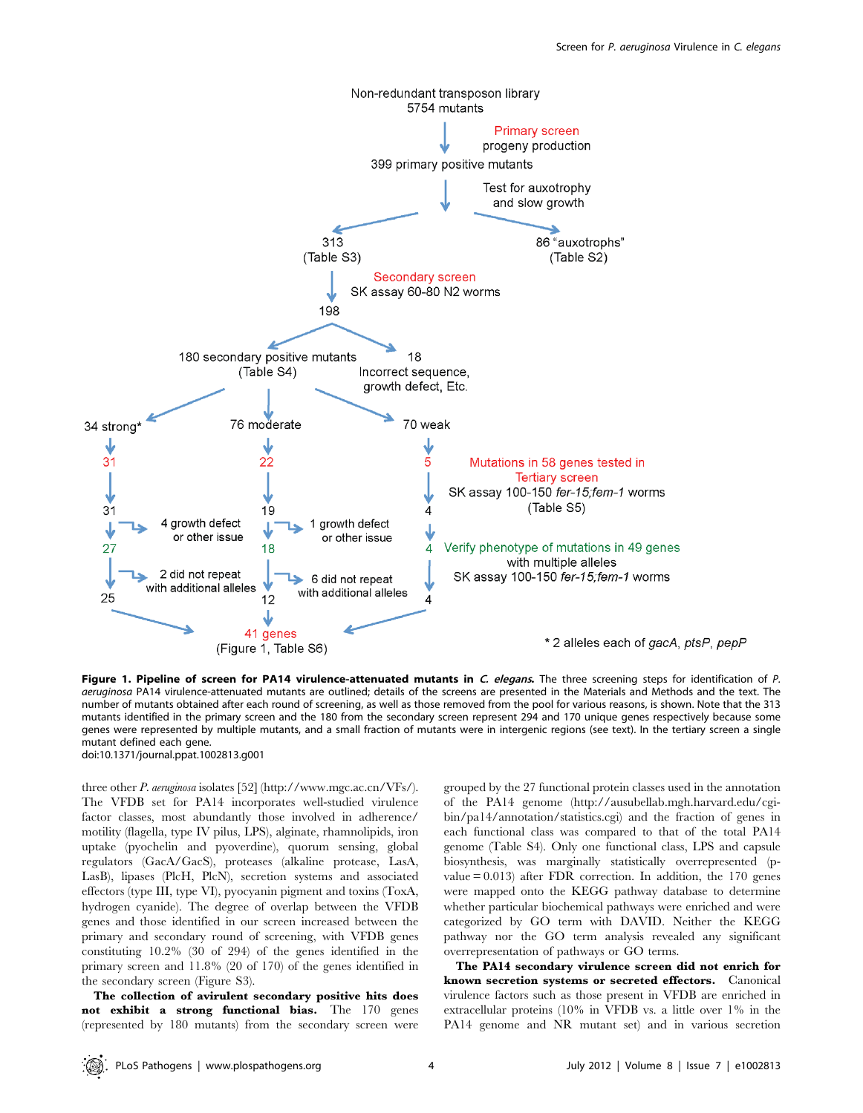

Figure 1. Pipeline of screen for PA14 virulence-attenuated mutants in C. elegans. The three screening steps for identification of P. aeruginosa PA14 virulence-attenuated mutants are outlined; details of the screens are presented in the Materials and Methods and the text. The number of mutants obtained after each round of screening, as well as those removed from the pool for various reasons, is shown. Note that the 313 mutants identified in the primary screen and the 180 from the secondary screen represent 294 and 170 unique genes respectively because some genes were represented by multiple mutants, and a small fraction of mutants were in intergenic regions (see text). In the tertiary screen a single mutant defined each gene. doi:10.1371/journal.ppat.1002813.g001

three other P. aeruginosa isolates [52] (http://www.mgc.ac.cn/VFs/). The VFDB set for PA14 incorporates well-studied virulence factor classes, most abundantly those involved in adherence/ motility (flagella, type IV pilus, LPS), alginate, rhamnolipids, iron uptake (pyochelin and pyoverdine), quorum sensing, global regulators (GacA/GacS), proteases (alkaline protease, LasA, LasB), lipases (PlcH, PlcN), secretion systems and associated effectors (type III, type VI), pyocyanin pigment and toxins (ToxA, hydrogen cyanide). The degree of overlap between the VFDB genes and those identified in our screen increased between the primary and secondary round of screening, with VFDB genes constituting 10.2% (30 of 294) of the genes identified in the primary screen and 11.8% (20 of 170) of the genes identified in the secondary screen (Figure S3).

The collection of avirulent secondary positive hits does not exhibit a strong functional bias. The 170 genes (represented by 180 mutants) from the secondary screen were

grouped by the 27 functional protein classes used in the annotation of the PA14 genome (http://ausubellab.mgh.harvard.edu/cgibin/pa14/annotation/statistics.cgi) and the fraction of genes in each functional class was compared to that of the total PA14 genome (Table S4). Only one functional class, LPS and capsule biosynthesis, was marginally statistically overrepresented (pvalue  $= 0.013$ ) after FDR correction. In addition, the 170 genes were mapped onto the KEGG pathway database to determine whether particular biochemical pathways were enriched and were categorized by GO term with DAVID. Neither the KEGG pathway nor the GO term analysis revealed any significant overrepresentation of pathways or GO terms.

The PA14 secondary virulence screen did not enrich for known secretion systems or secreted effectors. Canonical virulence factors such as those present in VFDB are enriched in extracellular proteins (10% in VFDB vs. a little over 1% in the PA14 genome and NR mutant set) and in various secretion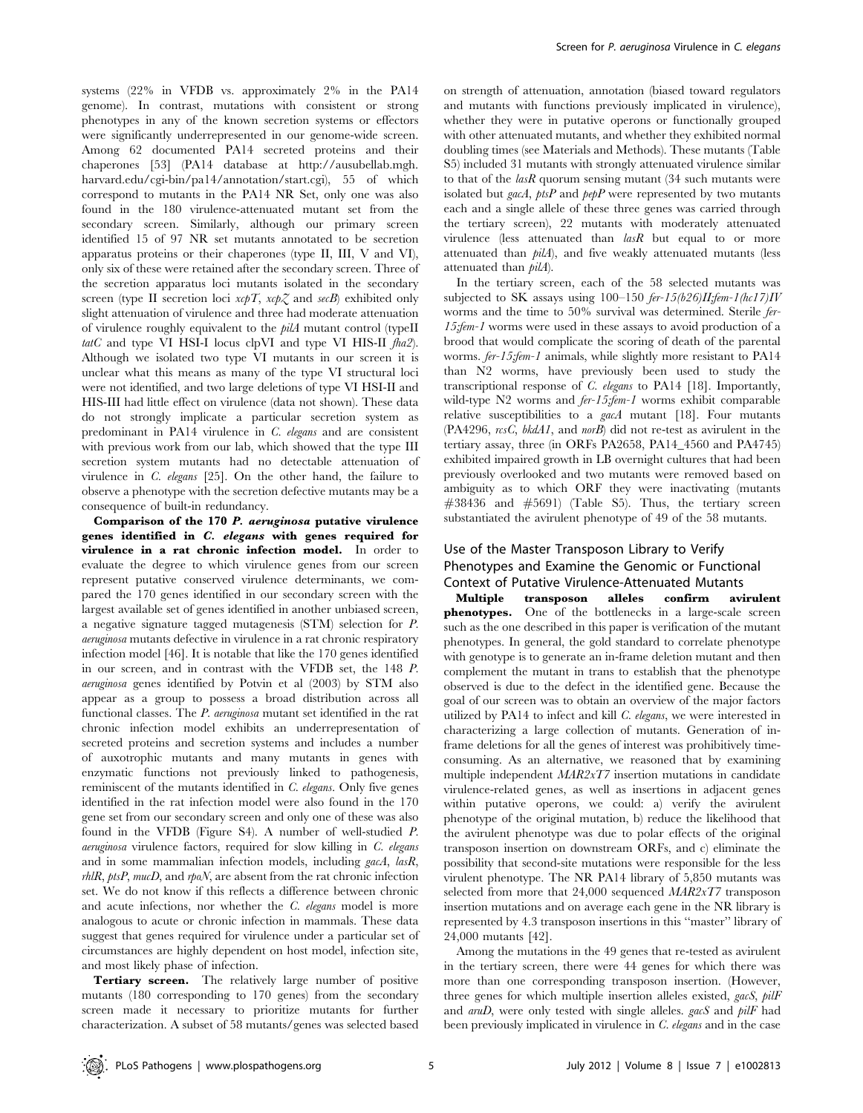systems (22% in VFDB vs. approximately 2% in the PA14 genome). In contrast, mutations with consistent or strong phenotypes in any of the known secretion systems or effectors were significantly underrepresented in our genome-wide screen. Among 62 documented PA14 secreted proteins and their chaperones [53] (PA14 database at http://ausubellab.mgh. harvard.edu/cgi-bin/pa14/annotation/start.cgi), 55 of which correspond to mutants in the PA14 NR Set, only one was also found in the 180 virulence-attenuated mutant set from the secondary screen. Similarly, although our primary screen identified 15 of 97 NR set mutants annotated to be secretion apparatus proteins or their chaperones (type II, III, V and VI), only six of these were retained after the secondary screen. Three of the secretion apparatus loci mutants isolated in the secondary screen (type II secretion loci  $xcpT$ ,  $xcpZ$  and  $secB$ ) exhibited only slight attenuation of virulence and three had moderate attenuation of virulence roughly equivalent to the pilA mutant control (typeII  $tatC$  and type VI HSI-I locus clpVI and type VI HIS-II  $fha2$ ). Although we isolated two type VI mutants in our screen it is unclear what this means as many of the type VI structural loci were not identified, and two large deletions of type VI HSI-II and HIS-III had little effect on virulence (data not shown). These data do not strongly implicate a particular secretion system as predominant in PA14 virulence in C. elegans and are consistent with previous work from our lab, which showed that the type III secretion system mutants had no detectable attenuation of virulence in C. elegans [25]. On the other hand, the failure to observe a phenotype with the secretion defective mutants may be a consequence of built-in redundancy.

Comparison of the 170 P. aeruginosa putative virulence genes identified in C. elegans with genes required for virulence in a rat chronic infection model. In order to evaluate the degree to which virulence genes from our screen represent putative conserved virulence determinants, we compared the 170 genes identified in our secondary screen with the largest available set of genes identified in another unbiased screen, a negative signature tagged mutagenesis (STM) selection for P. aeruginosa mutants defective in virulence in a rat chronic respiratory infection model [46]. It is notable that like the 170 genes identified in our screen, and in contrast with the VFDB set, the 148 P. aeruginosa genes identified by Potvin et al (2003) by STM also appear as a group to possess a broad distribution across all functional classes. The P. aeruginosa mutant set identified in the rat chronic infection model exhibits an underrepresentation of secreted proteins and secretion systems and includes a number of auxotrophic mutants and many mutants in genes with enzymatic functions not previously linked to pathogenesis, reminiscent of the mutants identified in C. elegans. Only five genes identified in the rat infection model were also found in the 170 gene set from our secondary screen and only one of these was also found in the VFDB (Figure S4). A number of well-studied P. aeruginosa virulence factors, required for slow killing in C. elegans and in some mammalian infection models, including *gacA*, *lasR*,  $rh$ *R, ptsP, mucD,* and  $r$ *poN*, are absent from the rat chronic infection set. We do not know if this reflects a difference between chronic and acute infections, nor whether the C. elegans model is more analogous to acute or chronic infection in mammals. These data suggest that genes required for virulence under a particular set of circumstances are highly dependent on host model, infection site, and most likely phase of infection.

Tertiary screen. The relatively large number of positive mutants (180 corresponding to 170 genes) from the secondary screen made it necessary to prioritize mutants for further characterization. A subset of 58 mutants/genes was selected based on strength of attenuation, annotation (biased toward regulators and mutants with functions previously implicated in virulence), whether they were in putative operons or functionally grouped with other attenuated mutants, and whether they exhibited normal doubling times (see Materials and Methods). These mutants (Table S5) included 31 mutants with strongly attenuated virulence similar to that of the  $\ell$ asR quorum sensing mutant (34 such mutants were isolated but gacA,  $ptsP$  and  $pepP$  were represented by two mutants each and a single allele of these three genes was carried through the tertiary screen), 22 mutants with moderately attenuated virulence (less attenuated than  $lasR$  but equal to or more attenuated than  $piA$ ), and five weakly attenuated mutants (less attenuated than pilA).

In the tertiary screen, each of the 58 selected mutants was subjected to SK assays using 100-150 fer-15(b26)II;fem-1(hc17)IV worms and the time to 50% survival was determined. Sterile fer-15;fem-1 worms were used in these assays to avoid production of a brood that would complicate the scoring of death of the parental worms. fer-15;fem-1 animals, while slightly more resistant to PA14 than N2 worms, have previously been used to study the transcriptional response of C. elegans to PA14 [18]. Importantly, wild-type N2 worms and *fer-15;fem-1* worms exhibit comparable relative susceptibilities to a gacA mutant [18]. Four mutants (PA4296, rcsC, bkdA1, and norB) did not re-test as avirulent in the tertiary assay, three (in ORFs PA2658, PA14\_4560 and PA4745) exhibited impaired growth in LB overnight cultures that had been previously overlooked and two mutants were removed based on ambiguity as to which ORF they were inactivating (mutants  $\#38436$  and  $\#5691$ ) (Table S5). Thus, the tertiary screen substantiated the avirulent phenotype of 49 of the 58 mutants.

## Use of the Master Transposon Library to Verify Phenotypes and Examine the Genomic or Functional Context of Putative Virulence-Attenuated Mutants

Multiple transposon alleles confirm avirulent phenotypes. One of the bottlenecks in a large-scale screen such as the one described in this paper is verification of the mutant phenotypes. In general, the gold standard to correlate phenotype with genotype is to generate an in-frame deletion mutant and then complement the mutant in trans to establish that the phenotype observed is due to the defect in the identified gene. Because the goal of our screen was to obtain an overview of the major factors utilized by PA14 to infect and kill C. elegans, we were interested in characterizing a large collection of mutants. Generation of inframe deletions for all the genes of interest was prohibitively timeconsuming. As an alternative, we reasoned that by examining multiple independent MAR2xT7 insertion mutations in candidate virulence-related genes, as well as insertions in adjacent genes within putative operons, we could: a) verify the avirulent phenotype of the original mutation, b) reduce the likelihood that the avirulent phenotype was due to polar effects of the original transposon insertion on downstream ORFs, and c) eliminate the possibility that second-site mutations were responsible for the less virulent phenotype. The NR PA14 library of 5,850 mutants was selected from more that 24,000 sequenced  $MAR2xT7$  transposon insertion mutations and on average each gene in the NR library is represented by 4.3 transposon insertions in this ''master'' library of 24,000 mutants [42].

Among the mutations in the 49 genes that re-tested as avirulent in the tertiary screen, there were 44 genes for which there was more than one corresponding transposon insertion. (However, three genes for which multiple insertion alleles existed, gacS, pilF and *aruD*, were only tested with single alleles. gacS and pilF had been previously implicated in virulence in C. elegans and in the case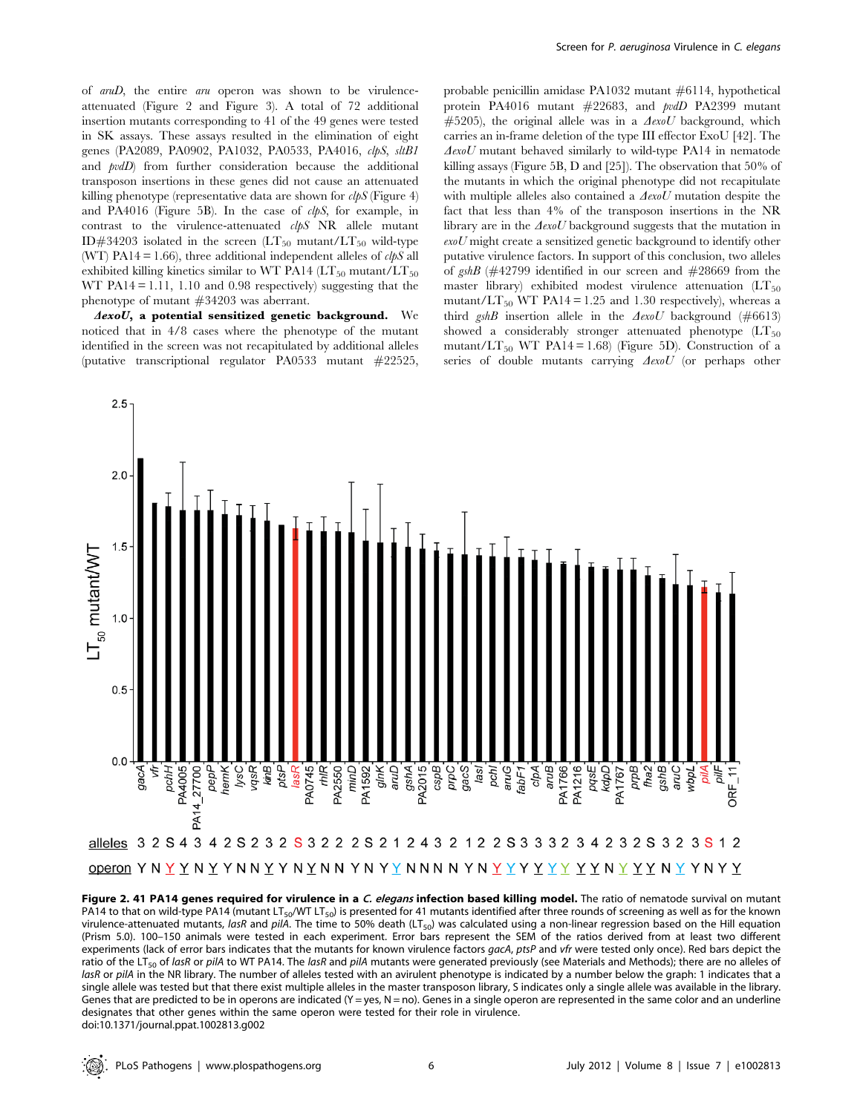of aruD, the entire aru operon was shown to be virulenceattenuated (Figure 2 and Figure 3). A total of 72 additional insertion mutants corresponding to 41 of the 49 genes were tested in SK assays. These assays resulted in the elimination of eight genes (PA2089, PA0902, PA1032, PA0533, PA4016, clpS, sltB1 and pvdD) from further consideration because the additional transposon insertions in these genes did not cause an attenuated killing phenotype (representative data are shown for  $\mathit{clpS}$  (Figure 4) and PA4016 (Figure 5B). In the case of clpS, for example, in contrast to the virulence-attenuated clpS NR allele mutant ID#34203 isolated in the screen  $(LT_{50}$  mutant/ $LT_{50}$  wild-type (WT) PA14 = 1.66), three additional independent alleles of  $\text{clp}S$  all exhibited killing kinetics similar to WT PA14 ( $LT_{50}$  mutant/ $LT_{50}$ WT  $PA14 = 1.11$ , 1.10 and 0.98 respectively) suggesting that the phenotype of mutant #34203 was aberrant.

 $A$ exo $U$ , a potential sensitized genetic background. We noticed that in 4/8 cases where the phenotype of the mutant identified in the screen was not recapitulated by additional alleles (putative transcriptional regulator PA0533 mutant #22525,

probable penicillin amidase PA1032 mutant #6114, hypothetical protein PA4016 mutant #22683, and pvdD PA2399 mutant #5205), the original allele was in a  $A$ exoU background, which carries an in-frame deletion of the type III effector ExoU [42]. The  $A$ exoU mutant behaved similarly to wild-type PA14 in nematode killing assays (Figure 5B, D and [25]). The observation that 50% of the mutants in which the original phenotype did not recapitulate with multiple alleles also contained a  $A$ exoU mutation despite the fact that less than 4% of the transposon insertions in the NR library are in the  $A$ exoU background suggests that the mutation in  $exoU$  might create a sensitized genetic background to identify other putative virulence factors. In support of this conclusion, two alleles of gshB ( $\#42799$  identified in our screen and  $\#28669$  from the master library) exhibited modest virulence attenuation  $(LT_{50})$ mutant/LT<sub>50</sub> WT PA14 = 1.25 and 1.30 respectively), whereas a third gshB insertion allele in the  $A$ exoU background (#6613) showed a considerably stronger attenuated phenotype  $(LT_{50})$ mutant/LT<sub>50</sub> WT PA14 = 1.68) (Figure 5D). Construction of a series of double mutants carrying  $A$ exo $U$  (or perhaps other



Figure 2. 41 PA14 genes required for virulence in a C. elegans infection based killing model. The ratio of nematode survival on mutant PA14 to that on wild-type PA14 (mutant LT<sub>50</sub>/WT LT<sub>50</sub>) is presented for 41 mutants identified after three rounds of screening as well as for the known virulence-attenuated mutants, lasR and pilA. The time to 50% death (LT<sub>50</sub>) was calculated using a non-linear regression based on the Hill equation (Prism 5.0). 100–150 animals were tested in each experiment. Error bars represent the SEM of the ratios derived from at least two different experiments (lack of error bars indicates that the mutants for known virulence factors gacA, ptsP and vfr were tested only once). Red bars depict the ratio of the LT<sub>50</sub> of lasR or pilA to WT PA14. The lasR and pilA mutants were generated previously (see Materials and Methods); there are no alleles of lasR or pilA in the NR library. The number of alleles tested with an avirulent phenotype is indicated by a number below the graph: 1 indicates that a single allele was tested but that there exist multiple alleles in the master transposon library, S indicates only a single allele was available in the library. Genes that are predicted to be in operons are indicated  $(Y = yes, N = no)$ . Genes in a single operon are represented in the same color and an underline designates that other genes within the same operon were tested for their role in virulence. doi:10.1371/journal.ppat.1002813.g002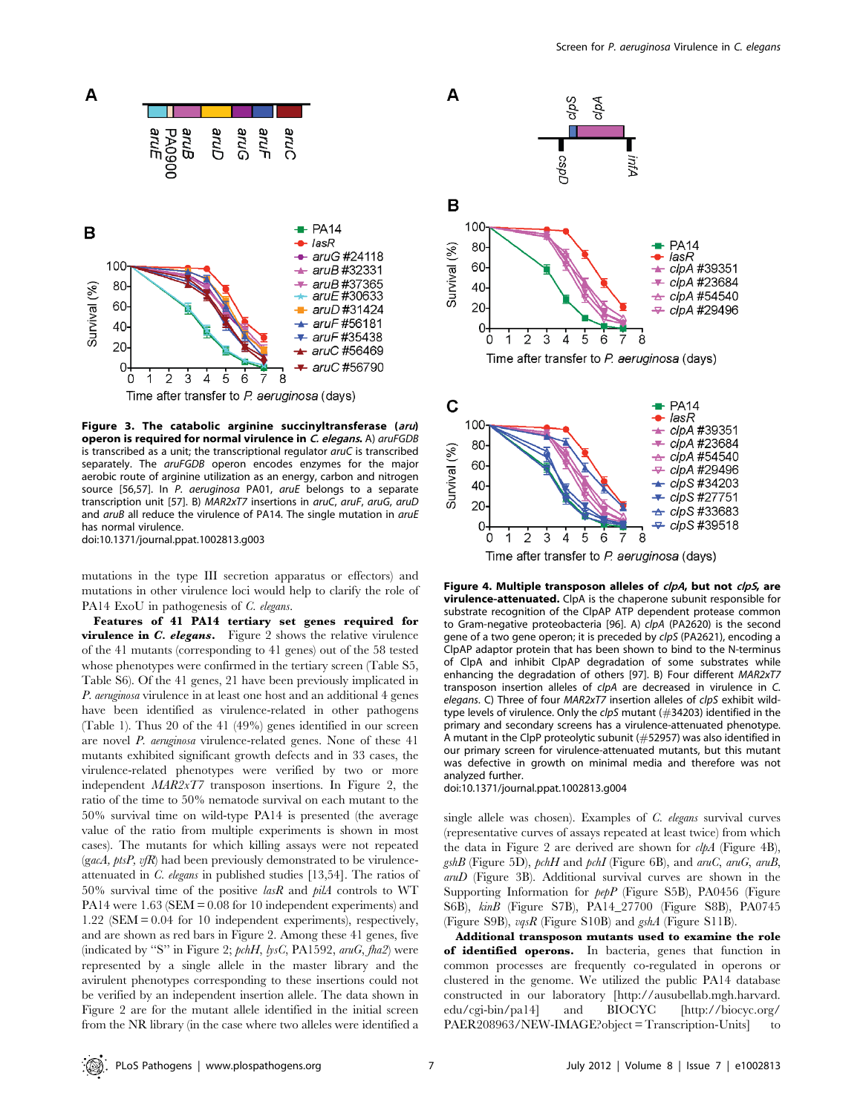

Figure 3. The catabolic arginine succinyltransferase (aru) operon is required for normal virulence in C. elegans. A) aruFGDB is transcribed as a unit; the transcriptional regulator aruC is transcribed separately. The *aruFGDB* operon encodes enzymes for the major aerobic route of arginine utilization as an energy, carbon and nitrogen source [56,57]. In P. aeruginosa PA01, aruE belongs to a separate transcription unit [57]. B) MAR2xT7 insertions in aruC, aruF, aruG, aruD and aruB all reduce the virulence of PA14. The single mutation in aruE has normal virulence. doi:10.1371/journal.ppat.1002813.g003

mutations in the type III secretion apparatus or effectors) and mutations in other virulence loci would help to clarify the role of PA14 ExoU in pathogenesis of C. elegans.

Features of 41 PA14 tertiary set genes required for virulence in  $C.$  elegans. Figure 2 shows the relative virulence of the 41 mutants (corresponding to 41 genes) out of the 58 tested whose phenotypes were confirmed in the tertiary screen (Table S5, Table S6). Of the 41 genes, 21 have been previously implicated in P. aeruginosa virulence in at least one host and an additional 4 genes have been identified as virulence-related in other pathogens (Table 1). Thus 20 of the 41 (49%) genes identified in our screen are novel P. aeruginosa virulence-related genes. None of these 41 mutants exhibited significant growth defects and in 33 cases, the virulence-related phenotypes were verified by two or more independent MAR2xT7 transposon insertions. In Figure 2, the ratio of the time to 50% nematode survival on each mutant to the 50% survival time on wild-type PA14 is presented (the average value of the ratio from multiple experiments is shown in most cases). The mutants for which killing assays were not repeated  $(gacA, ptsP, vfR)$  had been previously demonstrated to be virulenceattenuated in C. elegans in published studies [13,54]. The ratios of 50% survival time of the positive *lasR* and  $piA$  controls to WT PA14 were 1.63 (SEM = 0.08 for 10 independent experiments) and 1.22 (SEM = 0.04 for 10 independent experiments), respectively, and are shown as red bars in Figure 2. Among these 41 genes, five (indicated by "S" in Figure 2; pchH, lysC, PA1592, aruG, fha2) were represented by a single allele in the master library and the avirulent phenotypes corresponding to these insertions could not be verified by an independent insertion allele. The data shown in Figure 2 are for the mutant allele identified in the initial screen from the NR library (in the case where two alleles were identified a



Time after transfer to P. aeruginosa (days)

Figure 4. Multiple transposon alleles of *clpA*, but not *clpS*, are virulence-attenuated. ClpA is the chaperone subunit responsible for substrate recognition of the ClpAP ATP dependent protease common to Gram-negative proteobacteria [96]. A) clpA (PA2620) is the second gene of a two gene operon; it is preceded by clpS (PA2621), encoding a ClpAP adaptor protein that has been shown to bind to the N-terminus of ClpA and inhibit ClpAP degradation of some substrates while enhancing the degradation of others [97]. B) Four different MAR2xT7 transposon insertion alleles of clpA are decreased in virulence in C. elegans. C) Three of four MAR2xT7 insertion alleles of clpS exhibit wildtype levels of virulence. Only the  $clpS$  mutant ( $#34203$ ) identified in the primary and secondary screens has a virulence-attenuated phenotype. A mutant in the ClpP proteolytic subunit (#52957) was also identified in our primary screen for virulence-attenuated mutants, but this mutant was defective in growth on minimal media and therefore was not analyzed further.

doi:10.1371/journal.ppat.1002813.g004

single allele was chosen). Examples of C. elegans survival curves (representative curves of assays repeated at least twice) from which the data in Figure 2 are derived are shown for  $\alpha/\beta A$  (Figure 4B),  $gshB$  (Figure 5D), pchH and pchI (Figure 6B), and aruC, aruG, aruB, aruD (Figure 3B). Additional survival curves are shown in the Supporting Information for *pepP* (Figure S5B), PA0456 (Figure S6B), kinB (Figure S7B), PA14\_27700 (Figure S8B), PA0745 (Figure S9B), vqsR (Figure S10B) and gshA (Figure S11B).

Additional transposon mutants used to examine the role of identified operons. In bacteria, genes that function in common processes are frequently co-regulated in operons or clustered in the genome. We utilized the public PA14 database constructed in our laboratory [http://ausubellab.mgh.harvard. edu/cgi-bin/pa14] and BIOCYC [http://biocyc.org/ PAER208963/NEW-IMAGE?object = Transcription-Units] to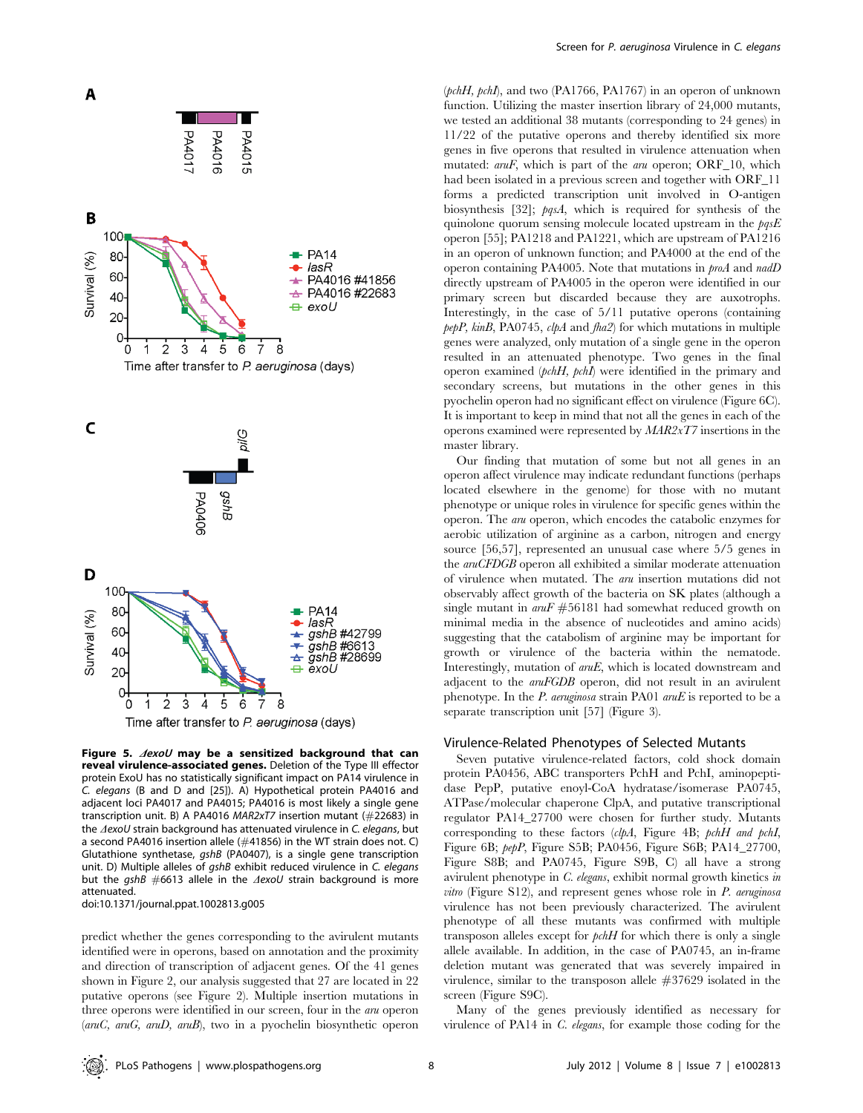

Figure 5.  $A$ exoU may be a sensitized background that can reveal virulence-associated genes. Deletion of the Type III effector protein ExoU has no statistically significant impact on PA14 virulence in C. elegans (B and D and [25]). A) Hypothetical protein PA4016 and adjacent loci PA4017 and PA4015; PA4016 is most likely a single gene transcription unit. B) A PA4016 MAR2xT7 insertion mutant (#22683) in the *AexoU* strain background has attenuated virulence in C. elegans, but a second PA4016 insertion allele (#41856) in the WT strain does not. C) Glutathione synthetase, gshB (PA0407), is a single gene transcription unit. D) Multiple alleles of gshB exhibit reduced virulence in C. elegans but the  $qshB \#6613$  allele in the  $AexoU$  strain background is more attenuated.

doi:10.1371/journal.ppat.1002813.g005

predict whether the genes corresponding to the avirulent mutants identified were in operons, based on annotation and the proximity and direction of transcription of adjacent genes. Of the 41 genes shown in Figure 2, our analysis suggested that 27 are located in 22 putative operons (see Figure 2). Multiple insertion mutations in three operons were identified in our screen, four in the aru operon (aruC, aruG, aruD, aruB), two in a pyochelin biosynthetic operon (pchH, pchI), and two (PA1766, PA1767) in an operon of unknown function. Utilizing the master insertion library of 24,000 mutants, we tested an additional 38 mutants (corresponding to 24 genes) in 11/22 of the putative operons and thereby identified six more genes in five operons that resulted in virulence attenuation when mutated: aruF, which is part of the aru operon; ORF\_10, which had been isolated in a previous screen and together with ORF\_11 forms a predicted transcription unit involved in O-antigen biosynthesis [32]; pqsA, which is required for synthesis of the quinolone quorum sensing molecule located upstream in the  $pqsE$ operon [55]; PA1218 and PA1221, which are upstream of PA1216 in an operon of unknown function; and PA4000 at the end of the operon containing PA4005. Note that mutations in proA and nadD directly upstream of PA4005 in the operon were identified in our primary screen but discarded because they are auxotrophs. Interestingly, in the case of 5/11 putative operons (containing pepP, kinB, PA0745, clpA and fha2) for which mutations in multiple genes were analyzed, only mutation of a single gene in the operon resulted in an attenuated phenotype. Two genes in the final operon examined (pchH, pchI) were identified in the primary and secondary screens, but mutations in the other genes in this pyochelin operon had no significant effect on virulence (Figure 6C). It is important to keep in mind that not all the genes in each of the operons examined were represented by MAR2xT7 insertions in the master library.

Our finding that mutation of some but not all genes in an operon affect virulence may indicate redundant functions (perhaps located elsewhere in the genome) for those with no mutant phenotype or unique roles in virulence for specific genes within the operon. The aru operon, which encodes the catabolic enzymes for aerobic utilization of arginine as a carbon, nitrogen and energy source [56,57], represented an unusual case where 5/5 genes in the aruCFDGB operon all exhibited a similar moderate attenuation of virulence when mutated. The aru insertion mutations did not observably affect growth of the bacteria on SK plates (although a single mutant in  $aruF #56181$  had somewhat reduced growth on minimal media in the absence of nucleotides and amino acids) suggesting that the catabolism of arginine may be important for growth or virulence of the bacteria within the nematode. Interestingly, mutation of aruE, which is located downstream and adjacent to the aruFGDB operon, did not result in an avirulent phenotype. In the  $P$ . aeruginosa strain PA01 aruE is reported to be a separate transcription unit [57] (Figure 3).

#### Virulence-Related Phenotypes of Selected Mutants

Seven putative virulence-related factors, cold shock domain protein PA0456, ABC transporters PchH and PchI, aminopeptidase PepP, putative enoyl-CoA hydratase/isomerase PA0745, ATPase/molecular chaperone ClpA, and putative transcriptional regulator PA14\_27700 were chosen for further study. Mutants corresponding to these factors (clpA, Figure 4B; pchH and pchI, Figure 6B; pepP, Figure S5B; PA0456, Figure S6B; PA14\_27700, Figure S8B; and PA0745, Figure S9B, C) all have a strong avirulent phenotype in C. elegans, exhibit normal growth kinetics in vitro (Figure S12), and represent genes whose role in P. aeruginosa virulence has not been previously characterized. The avirulent phenotype of all these mutants was confirmed with multiple transposon alleles except for  $pchH$  for which there is only a single allele available. In addition, in the case of PA0745, an in-frame deletion mutant was generated that was severely impaired in virulence, similar to the transposon allele #37629 isolated in the screen (Figure S9C).

Many of the genes previously identified as necessary for virulence of PA14 in C. elegans, for example those coding for the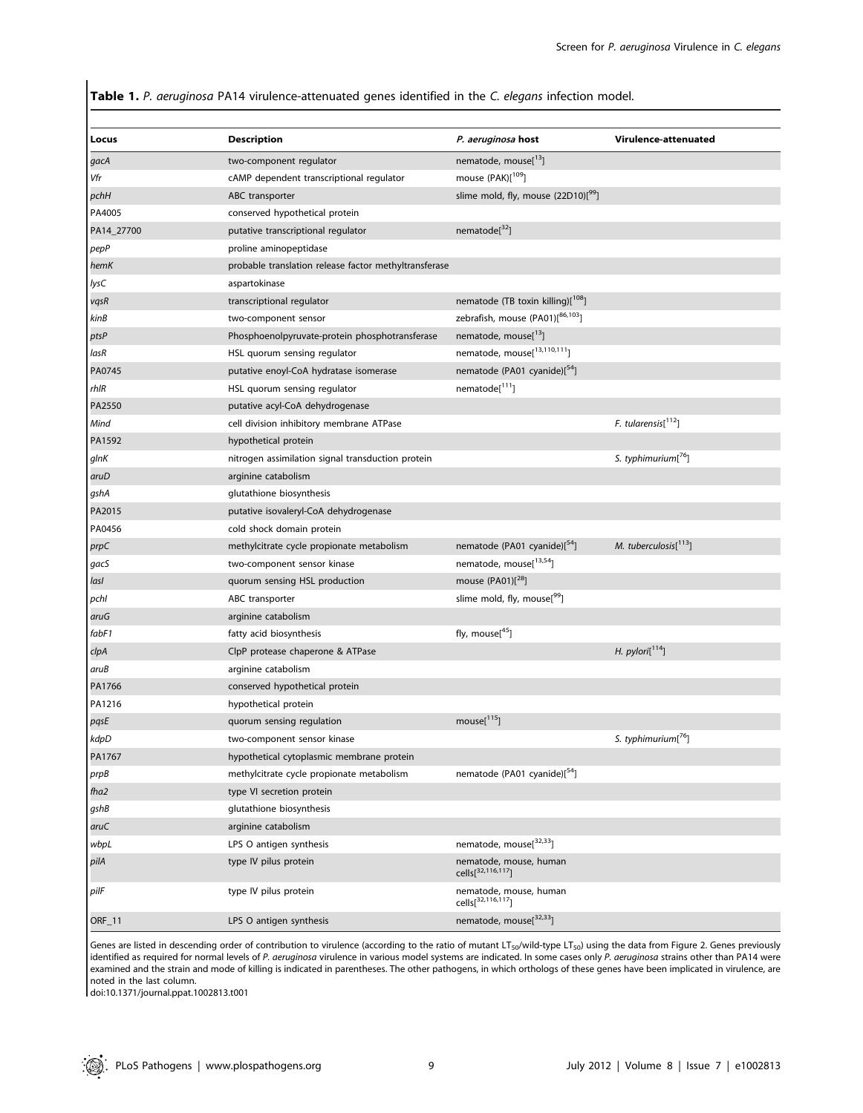Table 1. P. aeruginosa PA14 virulence-attenuated genes identified in the C. elegans infection model.

| Locus      | <b>Description</b>                                    | P. aeruginosa host                                       | Virulence-attenuated                 |
|------------|-------------------------------------------------------|----------------------------------------------------------|--------------------------------------|
| gacA       | two-component regulator                               | nematode, mouse[13]                                      |                                      |
| Vfr        | cAMP dependent transcriptional regulator              | mouse (PAK)[109]                                         |                                      |
| pchH       | ABC transporter                                       | slime mold, fly, mouse (22D10)[99]                       |                                      |
| PA4005     | conserved hypothetical protein                        |                                                          |                                      |
| PA14_27700 | putative transcriptional regulator                    | $n$ ematode $[^{32}]$                                    |                                      |
| pepP       | proline aminopeptidase                                |                                                          |                                      |
| hemK       | probable translation release factor methyltransferase |                                                          |                                      |
| lysC       | aspartokinase                                         |                                                          |                                      |
| vqsR       | transcriptional regulator                             | nematode (TB toxin killing)[ <sup>108</sup> ]            |                                      |
| kinB       | two-component sensor                                  | zebrafish, mouse (PA01)[86,103]                          |                                      |
| ptsP       | Phosphoenolpyruvate-protein phosphotransferase        | nematode, mouse[13]                                      |                                      |
| lasR       | HSL quorum sensing regulator                          | nematode, mouse[13,110,111]                              |                                      |
| PA0745     | putative enoyl-CoA hydratase isomerase                | nematode (PA01 cyanide)[54]                              |                                      |
| rhIR       | HSL quorum sensing regulator                          | nematode[111]                                            |                                      |
| PA2550     | putative acyl-CoA dehydrogenase                       |                                                          |                                      |
| Mind       | cell division inhibitory membrane ATPase              |                                                          | F. tularensis $[112]$                |
| PA1592     | hypothetical protein                                  |                                                          |                                      |
| glnK       | nitrogen assimilation signal transduction protein     |                                                          | S. typhimurium <sup>[76</sup> ]      |
| aruD       | arginine catabolism                                   |                                                          |                                      |
| gshA       | glutathione biosynthesis                              |                                                          |                                      |
| PA2015     | putative isovaleryl-CoA dehydrogenase                 |                                                          |                                      |
| PA0456     | cold shock domain protein                             |                                                          |                                      |
| prpC       | methylcitrate cycle propionate metabolism             | nematode (PA01 cyanide)[ <sup>54</sup> ]                 | M. tuberculosis $[$ <sup>113</sup> ] |
| gacS       | two-component sensor kinase                           | nematode, mouse[13,54]                                   |                                      |
| lasl       | quorum sensing HSL production                         | mouse $(PAO1)[^{28}]$                                    |                                      |
| pchl       | ABC transporter                                       | slime mold, fly, mouse[99]                               |                                      |
| aruG       | arginine catabolism                                   |                                                          |                                      |
| fabF1      | fatty acid biosynthesis                               | fly, mouse <sup>[45</sup> ]                              |                                      |
| clpA       | ClpP protease chaperone & ATPase                      |                                                          | H. pylori $[$ <sup>114</sup> ]       |
| aruB       | arginine catabolism                                   |                                                          |                                      |
| PA1766     | conserved hypothetical protein                        |                                                          |                                      |
| PA1216     | hypothetical protein                                  |                                                          |                                      |
| pqsE       | quorum sensing regulation                             | mouse[115]                                               |                                      |
| kdpD       | two-component sensor kinase                           |                                                          | S. typhimurium[ <sup>'6</sup> ]      |
| PA1767     | hypothetical cytoplasmic membrane protein             |                                                          |                                      |
| $prpB$     | methylcitrate cycle propionate metabolism             | nematode (PA01 cyanide)[ <sup>54</sup> ]                 |                                      |
| fha2       | type VI secretion protein                             |                                                          |                                      |
| gshB       | glutathione biosynthesis                              |                                                          |                                      |
| aruC       | arginine catabolism                                   |                                                          |                                      |
| wbpL       | LPS O antigen synthesis                               | nematode, mouse <sup>[32,33</sup> ]                      |                                      |
| pilA       | type IV pilus protein                                 | nematode, mouse, human<br>cells[ <sup>32,116,117</sup> ] |                                      |
| pilF       | type IV pilus protein                                 | nematode, mouse, human<br>cells <sup>[32,116,117</sup> ] |                                      |
| ORF_11     | LPS O antigen synthesis                               | nematode, mouse[32,33]                                   |                                      |

Genes are listed in descending order of contribution to virulence (according to the ratio of mutant LT<sub>50</sub>/wild-type LT<sub>50</sub>) using the data from Figure 2. Genes previously identified as required for normal levels of P. aeruginosa virulence in various model systems are indicated. In some cases only P. aeruginosa strains other than PA14 were examined and the strain and mode of killing is indicated in parentheses. The other pathogens, in which orthologs of these genes have been implicated in virulence, are noted in the last column.

doi:10.1371/journal.ppat.1002813.t001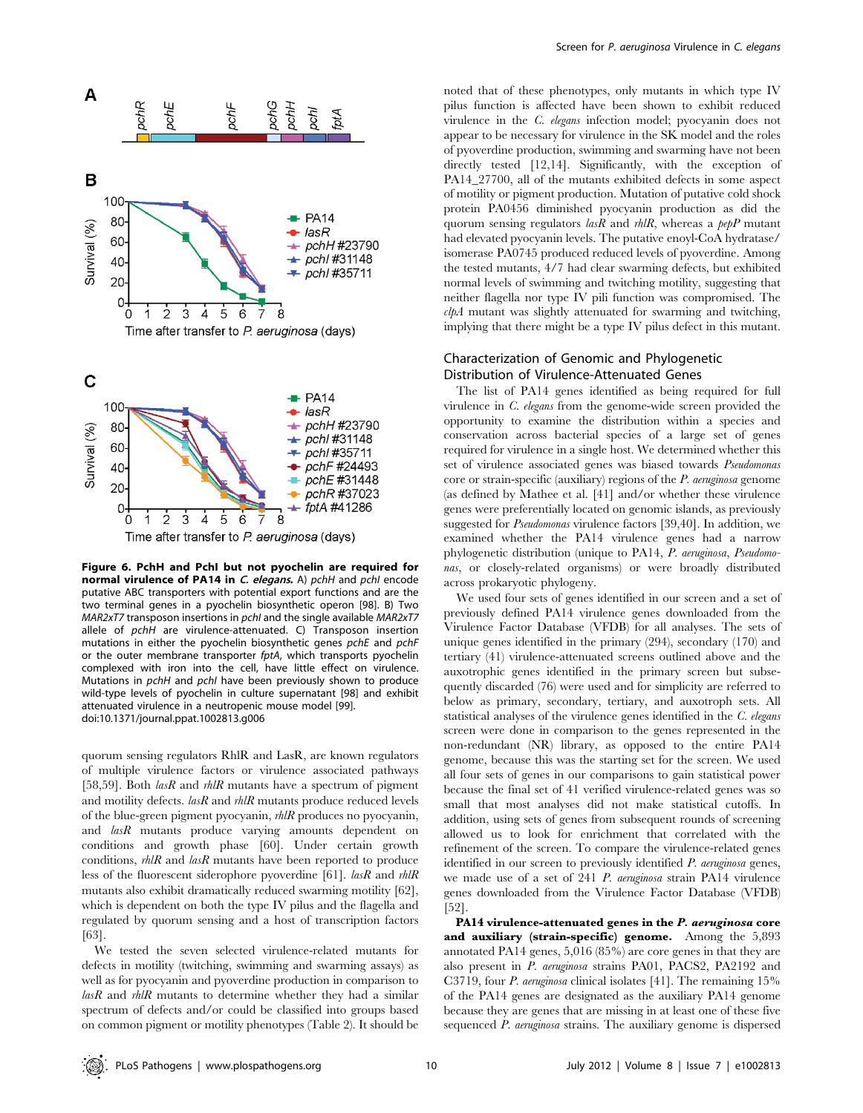

Figure 6. PchH and PchI but not pyochelin are required for normal virulence of PA14 in C. elegans. A) pchH and pchI encode putative ABC transporters with potential export functions and are the two terminal genes in a pyochelin biosynthetic operon [98]. B) Two MAR2xT7 transposon insertions in pchI and the single available MAR2xT7 allele of pchH are virulence-attenuated. C) Transposon insertion mutations in either the pyochelin biosynthetic genes pchE and pchF or the outer membrane transporter fptA, which transports pyochelin complexed with iron into the cell, have little effect on virulence. Mutations in pchH and pchI have been previously shown to produce wild-type levels of pyochelin in culture supernatant [98] and exhibit attenuated virulence in a neutropenic mouse model [99]. doi:10.1371/journal.ppat.1002813.g006

quorum sensing regulators RhlR and LasR, are known regulators of multiple virulence factors or virulence associated pathways [58,59]. Both *lasR* and  $\frac{rh}{R}$  mutants have a spectrum of pigment and motility defects.  $\text{las}R$  and  $\text{rh}lR$  mutants produce reduced levels of the blue-green pigment pyocyanin, rhlR produces no pyocyanin, and lasR mutants produce varying amounts dependent on conditions and growth phase [60]. Under certain growth conditions, rhlR and lasR mutants have been reported to produce less of the fluorescent siderophore pyoverdine [61]. *lasR* and  $\frac{rh}{R}$ mutants also exhibit dramatically reduced swarming motility [62], which is dependent on both the type IV pilus and the flagella and regulated by quorum sensing and a host of transcription factors [63].

We tested the seven selected virulence-related mutants for defects in motility (twitching, swimming and swarming assays) as well as for pyocyanin and pyoverdine production in comparison to  $lasR$  and  $rh$ IR mutants to determine whether they had a similar spectrum of defects and/or could be classified into groups based on common pigment or motility phenotypes (Table 2). It should be

noted that of these phenotypes, only mutants in which type IV pilus function is affected have been shown to exhibit reduced virulence in the C. elegans infection model; pyocyanin does not appear to be necessary for virulence in the SK model and the roles of pyoverdine production, swimming and swarming have not been directly tested [12,14]. Significantly, with the exception of PA14\_27700, all of the mutants exhibited defects in some aspect of motility or pigment production. Mutation of putative cold shock protein PA0456 diminished pyocyanin production as did the quorum sensing regulators *lasR* and  $\mathit{hlR}$ , whereas a  $\mathit{pepP}$  mutant had elevated pyocyanin levels. The putative enoyl-CoA hydratase/ isomerase PA0745 produced reduced levels of pyoverdine. Among the tested mutants, 4/7 had clear swarming defects, but exhibited normal levels of swimming and twitching motility, suggesting that neither flagella nor type IV pili function was compromised. The  $clpA$  mutant was slightly attenuated for swarming and twitching, implying that there might be a type IV pilus defect in this mutant.

## Characterization of Genomic and Phylogenetic Distribution of Virulence-Attenuated Genes

The list of PA14 genes identified as being required for full virulence in C. elegans from the genome-wide screen provided the opportunity to examine the distribution within a species and conservation across bacterial species of a large set of genes required for virulence in a single host. We determined whether this set of virulence associated genes was biased towards Pseudomonas core or strain-specific (auxiliary) regions of the P. aeruginosa genome (as defined by Mathee et al. [41] and/or whether these virulence genes were preferentially located on genomic islands, as previously suggested for Pseudomonas virulence factors [39,40]. In addition, we examined whether the PA14 virulence genes had a narrow phylogenetic distribution (unique to PA14, P. aeruginosa, Pseudomonas, or closely-related organisms) or were broadly distributed across prokaryotic phylogeny.

We used four sets of genes identified in our screen and a set of previously defined PA14 virulence genes downloaded from the Virulence Factor Database (VFDB) for all analyses. The sets of unique genes identified in the primary (294), secondary (170) and tertiary (41) virulence-attenuated screens outlined above and the auxotrophic genes identified in the primary screen but subsequently discarded (76) were used and for simplicity are referred to below as primary, secondary, tertiary, and auxotroph sets. All statistical analyses of the virulence genes identified in the C. elegans screen were done in comparison to the genes represented in the non-redundant (NR) library, as opposed to the entire PA14 genome, because this was the starting set for the screen. We used all four sets of genes in our comparisons to gain statistical power because the final set of 41 verified virulence-related genes was so small that most analyses did not make statistical cutoffs. In addition, using sets of genes from subsequent rounds of screening allowed us to look for enrichment that correlated with the refinement of the screen. To compare the virulence-related genes identified in our screen to previously identified P. aeruginosa genes, we made use of a set of 241 P. aeruginosa strain PA14 virulence genes downloaded from the Virulence Factor Database (VFDB) [52].

PA14 virulence-attenuated genes in the P. aeruginosa core and auxiliary (strain-specific) genome. Among the 5,893 annotated PA14 genes, 5,016 (85%) are core genes in that they are also present in P. aeruginosa strains PA01, PACS2, PA2192 and C3719, four P. aeruginosa clinical isolates [41]. The remaining 15% of the PA14 genes are designated as the auxiliary PA14 genome because they are genes that are missing in at least one of these five sequenced *P. aeruginosa* strains. The auxiliary genome is dispersed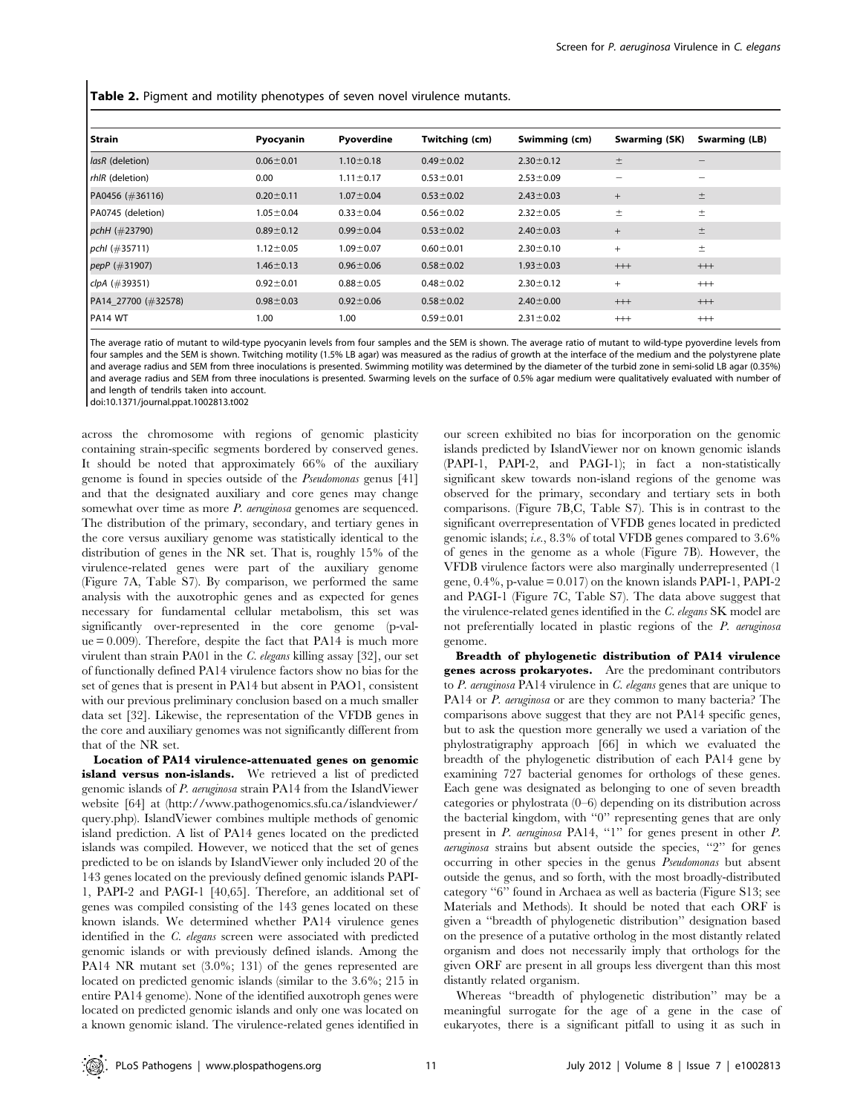Table 2. Pigment and motility phenotypes of seven novel virulence mutants.

| Strain              | Pyocyanin       | Pyoverdine      | Twitching (cm)  | Swimming (cm)   | Swarming (SK) | Swarming (LB)                   |
|---------------------|-----------------|-----------------|-----------------|-----------------|---------------|---------------------------------|
| lasR (deletion)     | $0.06 \pm 0.01$ | $1.10 \pm 0.18$ | $0.49 \pm 0.02$ | $2.30 \pm 0.12$ | $\pm$         | $\qquad \qquad - \qquad \qquad$ |
| rhlR (deletion)     | 0.00            | $1.11 \pm 0.17$ | $0.53 \pm 0.01$ | $2.53 \pm 0.09$ | -             | $\overline{\phantom{a}}$        |
| PA0456 (#36116)     | $0.20 \pm 0.11$ | $1.07 \pm 0.04$ | $0.53 \pm 0.02$ | $2.43 \pm 0.03$ | $+$           | $\pm$                           |
| PA0745 (deletion)   | $1.05 \pm 0.04$ | $0.33 \pm 0.04$ | $0.56 \pm 0.02$ | $2.32 \pm 0.05$ | 土             | $\pm$                           |
| pchH (#23790)       | $0.89 \pm 0.12$ | $0.99 \pm 0.04$ | $0.53 \pm 0.02$ | $2.40 \pm 0.03$ | $+$           | $\pm$                           |
| pchl $(\#35711)$    | $1.12 \pm 0.05$ | $1.09 \pm 0.07$ | $0.60 \pm 0.01$ | $2.30 \pm 0.10$ | $^{+}$        | $\pm$                           |
| pepP (#31907)       | $1.46 \pm 0.13$ | $0.96 \pm 0.06$ | $0.58 \pm 0.02$ | $1.93 \pm 0.03$ | $++$          | $^{+++}$                        |
| $clpA$ (#39351)     | $0.92 \pm 0.01$ | $0.88 + 0.05$   | $0.48 + 0.02$   | $2.30 \pm 0.12$ | $^{+}$        | $^{+++}$                        |
| PA14 27700 (#32578) | $0.98 \pm 0.03$ | $0.92 \pm 0.06$ | $0.58 \pm 0.02$ | $2.40 \pm 0.00$ | $++$          | $^{+++}$                        |
| PA14 WT             | 1.00            | 1.00            | $0.59 + 0.01$   | $2.31 \pm 0.02$ | $++$          | $^{+++}$                        |

The average ratio of mutant to wild-type pyocyanin levels from four samples and the SEM is shown. The average ratio of mutant to wild-type pyoverdine levels from four samples and the SEM is shown. Twitching motility (1.5% LB agar) was measured as the radius of growth at the interface of the medium and the polystyrene plate and average radius and SEM from three inoculations is presented. Swimming motility was determined by the diameter of the turbid zone in semi-solid LB agar (0.35%) and average radius and SEM from three inoculations is presented. Swarming levels on the surface of 0.5% agar medium were qualitatively evaluated with number of and length of tendrils taken into account.

doi:10.1371/journal.ppat.1002813.t002

across the chromosome with regions of genomic plasticity containing strain-specific segments bordered by conserved genes. It should be noted that approximately 66% of the auxiliary genome is found in species outside of the Pseudomonas genus [41] and that the designated auxiliary and core genes may change somewhat over time as more *P. aeruginosa* genomes are sequenced. The distribution of the primary, secondary, and tertiary genes in the core versus auxiliary genome was statistically identical to the distribution of genes in the NR set. That is, roughly 15% of the virulence-related genes were part of the auxiliary genome (Figure 7A, Table S7). By comparison, we performed the same analysis with the auxotrophic genes and as expected for genes necessary for fundamental cellular metabolism, this set was significantly over-represented in the core genome (p-val $ue = 0.009$ ). Therefore, despite the fact that PA14 is much more virulent than strain PA01 in the C. elegans killing assay [32], our set of functionally defined PA14 virulence factors show no bias for the set of genes that is present in PA14 but absent in PAO1, consistent with our previous preliminary conclusion based on a much smaller data set [32]. Likewise, the representation of the VFDB genes in the core and auxiliary genomes was not significantly different from that of the NR set.

Location of PA14 virulence-attenuated genes on genomic island versus non-islands. We retrieved a list of predicted genomic islands of P. aeruginosa strain PA14 from the IslandViewer website [64] at (http://www.pathogenomics.sfu.ca/islandviewer/ query.php). IslandViewer combines multiple methods of genomic island prediction. A list of PA14 genes located on the predicted islands was compiled. However, we noticed that the set of genes predicted to be on islands by IslandViewer only included 20 of the 143 genes located on the previously defined genomic islands PAPI-1, PAPI-2 and PAGI-1 [40,65]. Therefore, an additional set of genes was compiled consisting of the 143 genes located on these known islands. We determined whether PA14 virulence genes identified in the C. elegans screen were associated with predicted genomic islands or with previously defined islands. Among the PA14 NR mutant set (3.0%; 131) of the genes represented are located on predicted genomic islands (similar to the 3.6%; 215 in entire PA14 genome). None of the identified auxotroph genes were located on predicted genomic islands and only one was located on a known genomic island. The virulence-related genes identified in

our screen exhibited no bias for incorporation on the genomic islands predicted by IslandViewer nor on known genomic islands (PAPI-1, PAPI-2, and PAGI-1); in fact a non-statistically significant skew towards non-island regions of the genome was observed for the primary, secondary and tertiary sets in both comparisons. (Figure 7B,C, Table S7). This is in contrast to the significant overrepresentation of VFDB genes located in predicted genomic islands; i.e., 8.3% of total VFDB genes compared to 3.6% of genes in the genome as a whole (Figure 7B). However, the VFDB virulence factors were also marginally underrepresented (1 gene,  $0.4\%$ , p-value =  $0.017$ ) on the known islands PAPI-1, PAPI-2 and PAGI-1 (Figure 7C, Table S7). The data above suggest that the virulence-related genes identified in the C. elegans SK model are not preferentially located in plastic regions of the P. aeruginosa genome.

Breadth of phylogenetic distribution of PA14 virulence genes across prokaryotes. Are the predominant contributors to  $P$ . aeruginosa PA14 virulence in  $C$ . elegans genes that are unique to PA14 or *P. aeruginosa* or are they common to many bacteria? The comparisons above suggest that they are not PA14 specific genes, but to ask the question more generally we used a variation of the phylostratigraphy approach [66] in which we evaluated the breadth of the phylogenetic distribution of each PA14 gene by examining 727 bacterial genomes for orthologs of these genes. Each gene was designated as belonging to one of seven breadth categories or phylostrata (0–6) depending on its distribution across the bacterial kingdom, with ''0'' representing genes that are only present in *P. aeruginosa* PA14, "1" for genes present in other *P*. aeruginosa strains but absent outside the species, ''2'' for genes occurring in other species in the genus Pseudomonas but absent outside the genus, and so forth, with the most broadly-distributed category ''6'' found in Archaea as well as bacteria (Figure S13; see Materials and Methods). It should be noted that each ORF is given a ''breadth of phylogenetic distribution'' designation based on the presence of a putative ortholog in the most distantly related organism and does not necessarily imply that orthologs for the given ORF are present in all groups less divergent than this most distantly related organism.

Whereas ''breadth of phylogenetic distribution'' may be a meaningful surrogate for the age of a gene in the case of eukaryotes, there is a significant pitfall to using it as such in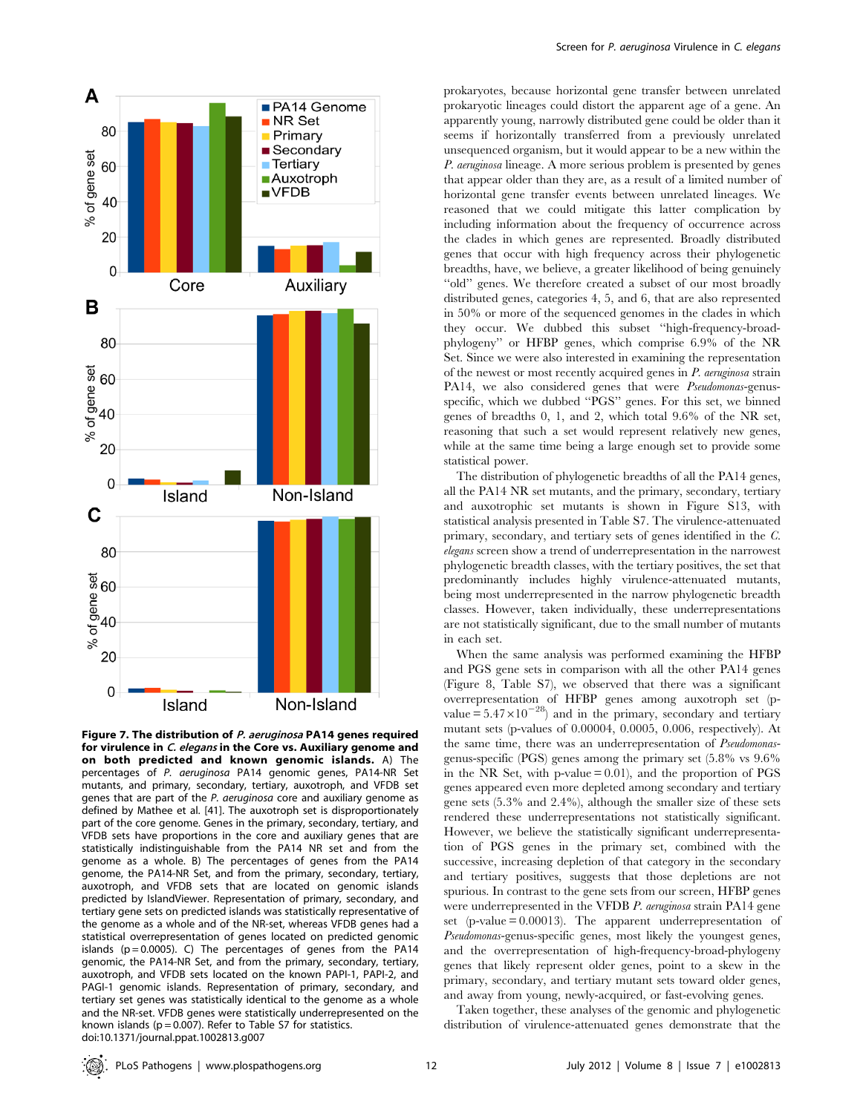

Figure 7. The distribution of P. aeruginosa PA14 genes required for virulence in C. elegans in the Core vs. Auxiliary genome and on both predicted and known genomic islands. A) The percentages of P. aeruginosa PA14 genomic genes, PA14-NR Set mutants, and primary, secondary, tertiary, auxotroph, and VFDB set genes that are part of the P. aeruginosa core and auxiliary genome as defined by Mathee et al. [41]. The auxotroph set is disproportionately part of the core genome. Genes in the primary, secondary, tertiary, and VFDB sets have proportions in the core and auxiliary genes that are statistically indistinguishable from the PA14 NR set and from the genome as a whole. B) The percentages of genes from the PA14 genome, the PA14-NR Set, and from the primary, secondary, tertiary, auxotroph, and VFDB sets that are located on genomic islands predicted by IslandViewer. Representation of primary, secondary, and tertiary gene sets on predicted islands was statistically representative of the genome as a whole and of the NR-set, whereas VFDB genes had a statistical overrepresentation of genes located on predicted genomic islands ( $p = 0.0005$ ). C) The percentages of genes from the PA14 genomic, the PA14-NR Set, and from the primary, secondary, tertiary, auxotroph, and VFDB sets located on the known PAPI-1, PAPI-2, and PAGI-1 genomic islands. Representation of primary, secondary, and tertiary set genes was statistically identical to the genome as a whole and the NR-set. VFDB genes were statistically underrepresented on the known islands ( $p = 0.007$ ). Refer to Table S7 for statistics. doi:10.1371/journal.ppat.1002813.g007

prokaryotes, because horizontal gene transfer between unrelated prokaryotic lineages could distort the apparent age of a gene. An apparently young, narrowly distributed gene could be older than it seems if horizontally transferred from a previously unrelated unsequenced organism, but it would appear to be a new within the P. aeruginosa lineage. A more serious problem is presented by genes that appear older than they are, as a result of a limited number of horizontal gene transfer events between unrelated lineages. We reasoned that we could mitigate this latter complication by including information about the frequency of occurrence across the clades in which genes are represented. Broadly distributed genes that occur with high frequency across their phylogenetic breadths, have, we believe, a greater likelihood of being genuinely ''old'' genes. We therefore created a subset of our most broadly distributed genes, categories 4, 5, and 6, that are also represented in 50% or more of the sequenced genomes in the clades in which they occur. We dubbed this subset ''high-frequency-broadphylogeny'' or HFBP genes, which comprise 6.9% of the NR Set. Since we were also interested in examining the representation of the newest or most recently acquired genes in P. aeruginosa strain PA14, we also considered genes that were *Pseudomonas*-genusspecific, which we dubbed ''PGS'' genes. For this set, we binned genes of breadths 0, 1, and 2, which total 9.6% of the NR set, reasoning that such a set would represent relatively new genes, while at the same time being a large enough set to provide some statistical power.

The distribution of phylogenetic breadths of all the PA14 genes, all the PA14 NR set mutants, and the primary, secondary, tertiary and auxotrophic set mutants is shown in Figure S13, with statistical analysis presented in Table S7. The virulence-attenuated primary, secondary, and tertiary sets of genes identified in the C. elegans screen show a trend of underrepresentation in the narrowest phylogenetic breadth classes, with the tertiary positives, the set that predominantly includes highly virulence-attenuated mutants, being most underrepresented in the narrow phylogenetic breadth classes. However, taken individually, these underrepresentations are not statistically significant, due to the small number of mutants in each set.

When the same analysis was performed examining the HFBP and PGS gene sets in comparison with all the other PA14 genes (Figure 8, Table S7), we observed that there was a significant overrepresentation of HFBP genes among auxotroph set (pvalue =  $5.47 \times 10^{-28}$ ) and in the primary, secondary and tertiary mutant sets (p-values of 0.00004, 0.0005, 0.006, respectively). At the same time, there was an underrepresentation of Pseudomonasgenus-specific (PGS) genes among the primary set (5.8% vs 9.6% in the NR Set, with p-value  $= 0.01$ ), and the proportion of PGS genes appeared even more depleted among secondary and tertiary gene sets (5.3% and 2.4%), although the smaller size of these sets rendered these underrepresentations not statistically significant. However, we believe the statistically significant underrepresentation of PGS genes in the primary set, combined with the successive, increasing depletion of that category in the secondary and tertiary positives, suggests that those depletions are not spurious. In contrast to the gene sets from our screen, HFBP genes were underrepresented in the VFDB P. aeruginosa strain PA14 gene set (p-value = 0.00013). The apparent underrepresentation of Pseudomonas-genus-specific genes, most likely the youngest genes, and the overrepresentation of high-frequency-broad-phylogeny genes that likely represent older genes, point to a skew in the primary, secondary, and tertiary mutant sets toward older genes, and away from young, newly-acquired, or fast-evolving genes.

Taken together, these analyses of the genomic and phylogenetic distribution of virulence-attenuated genes demonstrate that the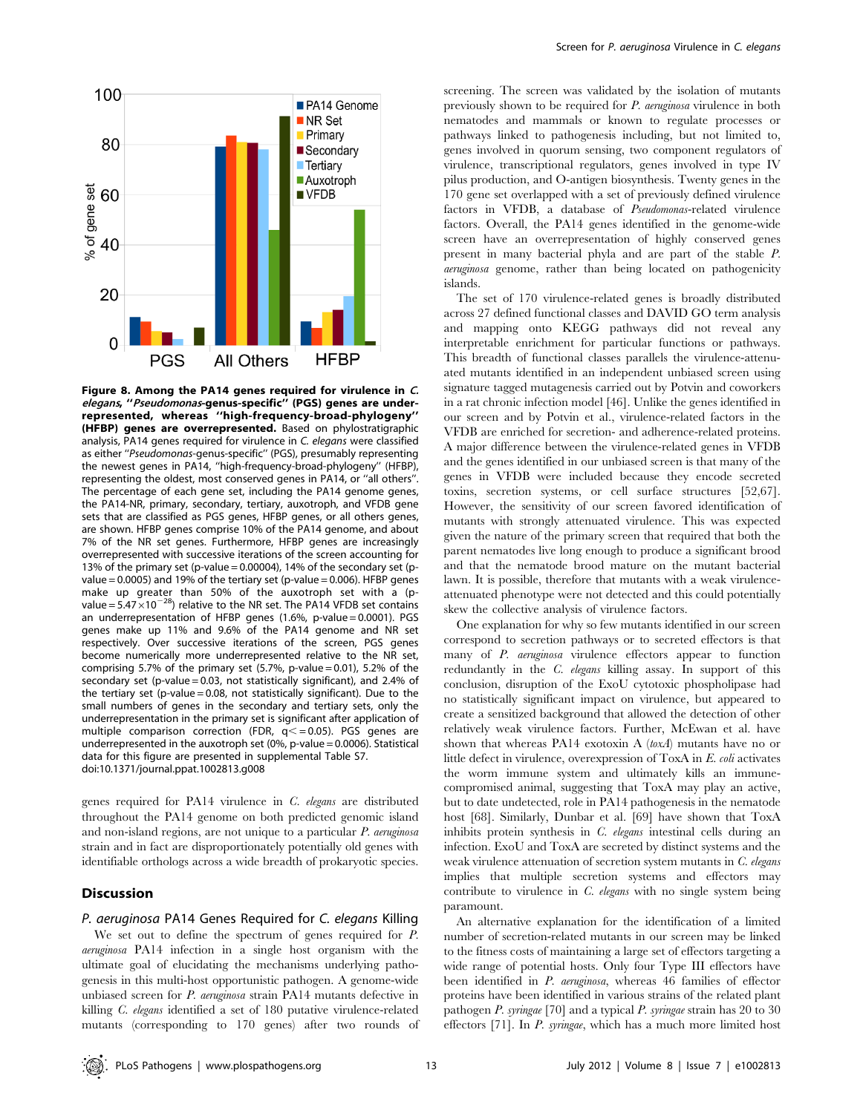

Figure 8. Among the PA14 genes required for virulence in C. elegans, ''Pseudomonas-genus-specific'' (PGS) genes are underrepresented, whereas ''high-frequency-broad-phylogeny'' (HFBP) genes are overrepresented. Based on phylostratigraphic analysis, PA14 genes required for virulence in C. elegans were classified as either ''Pseudomonas-genus-specific'' (PGS), presumably representing the newest genes in PA14, ''high-frequency-broad-phylogeny'' (HFBP), representing the oldest, most conserved genes in PA14, or ''all others''. The percentage of each gene set, including the PA14 genome genes, the PA14-NR, primary, secondary, tertiary, auxotroph, and VFDB gene sets that are classified as PGS genes, HFBP genes, or all others genes, are shown. HFBP genes comprise 10% of the PA14 genome, and about 7% of the NR set genes. Furthermore, HFBP genes are increasingly overrepresented with successive iterations of the screen accounting for 13% of the primary set (p-value = 0.00004), 14% of the secondary set (pvalue = 0.0005) and 19% of the tertiary set (p-value = 0.006). HFBP genes make up greater than 50% of the auxotroph set with a (pvalue =  $5.47 \times 10^{-28}$ ) relative to the NR set. The PA14 VFDB set contains an underrepresentation of HFBP genes (1.6%, p-value = 0.0001). PGS genes make up 11% and 9.6% of the PA14 genome and NR set respectively. Over successive iterations of the screen, PGS genes become numerically more underrepresented relative to the NR set, comprising 5.7% of the primary set  $(5.7% , p-value = 0.01)$ , 5.2% of the secondary set (p-value = 0.03, not statistically significant), and 2.4% of the tertiary set (p-value = 0.08, not statistically significant). Due to the small numbers of genes in the secondary and tertiary sets, only the underrepresentation in the primary set is significant after application of multiple comparison correction (FDR,  $q \le 0.05$ ). PGS genes are underrepresented in the auxotroph set (0%, p-value = 0.0006). Statistical data for this figure are presented in supplemental Table S7. doi:10.1371/journal.ppat.1002813.g008

genes required for PA14 virulence in C. elegans are distributed throughout the PA14 genome on both predicted genomic island and non-island regions, are not unique to a particular P. aeruginosa strain and in fact are disproportionately potentially old genes with identifiable orthologs across a wide breadth of prokaryotic species.

#### **Discussion**

#### P. aeruginosa PA14 Genes Required for C. elegans Killing

We set out to define the spectrum of genes required for P. aeruginosa PA14 infection in a single host organism with the ultimate goal of elucidating the mechanisms underlying pathogenesis in this multi-host opportunistic pathogen. A genome-wide unbiased screen for P. aeruginosa strain PA14 mutants defective in killing C. elegans identified a set of 180 putative virulence-related mutants (corresponding to 170 genes) after two rounds of screening. The screen was validated by the isolation of mutants previously shown to be required for P. aeruginosa virulence in both nematodes and mammals or known to regulate processes or pathways linked to pathogenesis including, but not limited to, genes involved in quorum sensing, two component regulators of virulence, transcriptional regulators, genes involved in type IV pilus production, and O-antigen biosynthesis. Twenty genes in the 170 gene set overlapped with a set of previously defined virulence factors in VFDB, a database of Pseudomonas-related virulence factors. Overall, the PA14 genes identified in the genome-wide screen have an overrepresentation of highly conserved genes present in many bacterial phyla and are part of the stable P. aeruginosa genome, rather than being located on pathogenicity islands.

The set of 170 virulence-related genes is broadly distributed across 27 defined functional classes and DAVID GO term analysis and mapping onto KEGG pathways did not reveal any interpretable enrichment for particular functions or pathways. This breadth of functional classes parallels the virulence-attenuated mutants identified in an independent unbiased screen using signature tagged mutagenesis carried out by Potvin and coworkers in a rat chronic infection model [46]. Unlike the genes identified in our screen and by Potvin et al., virulence-related factors in the VFDB are enriched for secretion- and adherence-related proteins. A major difference between the virulence-related genes in VFDB and the genes identified in our unbiased screen is that many of the genes in VFDB were included because they encode secreted toxins, secretion systems, or cell surface structures [52,67]. However, the sensitivity of our screen favored identification of mutants with strongly attenuated virulence. This was expected given the nature of the primary screen that required that both the parent nematodes live long enough to produce a significant brood and that the nematode brood mature on the mutant bacterial lawn. It is possible, therefore that mutants with a weak virulenceattenuated phenotype were not detected and this could potentially skew the collective analysis of virulence factors.

One explanation for why so few mutants identified in our screen correspond to secretion pathways or to secreted effectors is that many of P. aeruginosa virulence effectors appear to function redundantly in the C. elegans killing assay. In support of this conclusion, disruption of the ExoU cytotoxic phospholipase had no statistically significant impact on virulence, but appeared to create a sensitized background that allowed the detection of other relatively weak virulence factors. Further, McEwan et al. have shown that whereas PA14 exotoxin A (toxA) mutants have no or little defect in virulence, overexpression of ToxA in E. coli activates the worm immune system and ultimately kills an immunecompromised animal, suggesting that ToxA may play an active, but to date undetected, role in PA14 pathogenesis in the nematode host [68]. Similarly, Dunbar et al. [69] have shown that ToxA inhibits protein synthesis in C. elegans intestinal cells during an infection. ExoU and ToxA are secreted by distinct systems and the weak virulence attenuation of secretion system mutants in C. elegans implies that multiple secretion systems and effectors may contribute to virulence in C. elegans with no single system being paramount.

An alternative explanation for the identification of a limited number of secretion-related mutants in our screen may be linked to the fitness costs of maintaining a large set of effectors targeting a wide range of potential hosts. Only four Type III effectors have been identified in P. aeruginosa, whereas 46 families of effector proteins have been identified in various strains of the related plant pathogen P. syringae [70] and a typical P. syringae strain has 20 to 30 effectors [71]. In P. syringae, which has a much more limited host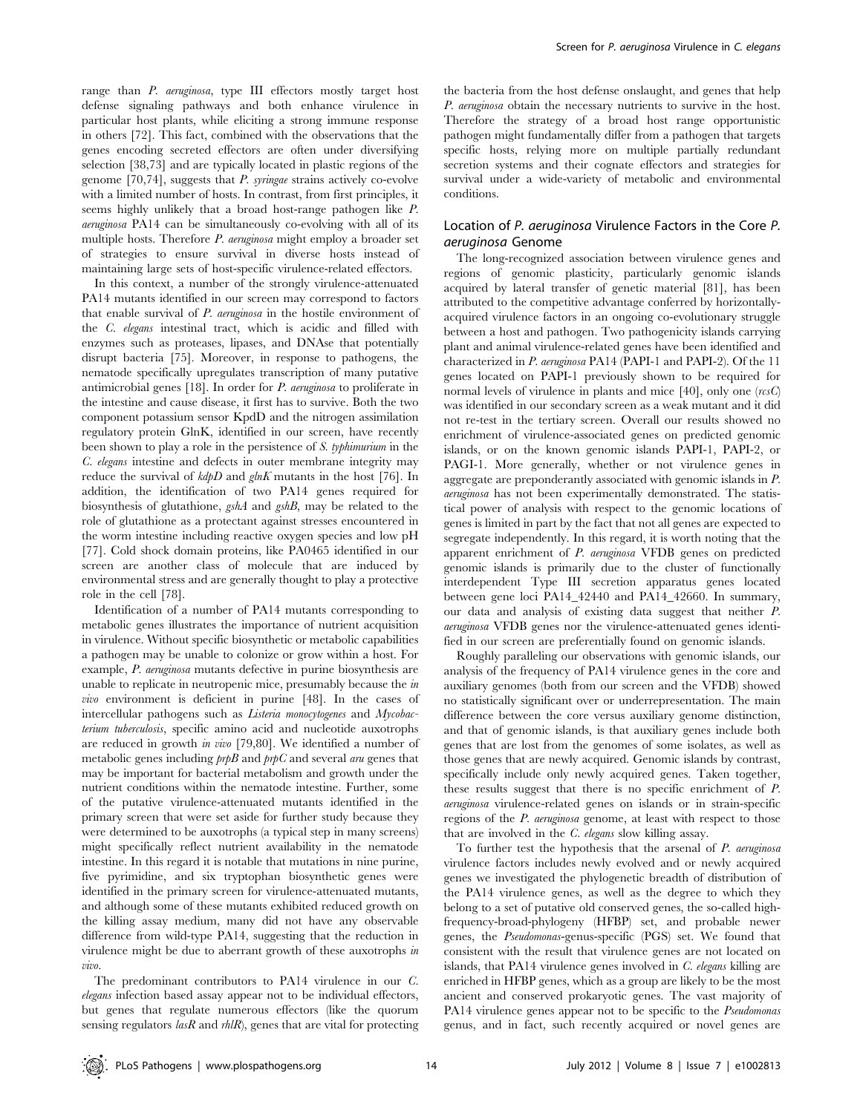range than P. aeruginosa, type III effectors mostly target host defense signaling pathways and both enhance virulence in particular host plants, while eliciting a strong immune response in others [72]. This fact, combined with the observations that the genes encoding secreted effectors are often under diversifying selection [38,73] and are typically located in plastic regions of the genome  $[70,74]$ , suggests that *P. syringae* strains actively co-evolve with a limited number of hosts. In contrast, from first principles, it seems highly unlikely that a broad host-range pathogen like P. aeruginosa PA14 can be simultaneously co-evolving with all of its multiple hosts. Therefore P. aeruginosa might employ a broader set of strategies to ensure survival in diverse hosts instead of maintaining large sets of host-specific virulence-related effectors.

In this context, a number of the strongly virulence-attenuated PA14 mutants identified in our screen may correspond to factors that enable survival of P. aeruginosa in the hostile environment of the C. elegans intestinal tract, which is acidic and filled with enzymes such as proteases, lipases, and DNAse that potentially disrupt bacteria [75]. Moreover, in response to pathogens, the nematode specifically upregulates transcription of many putative antimicrobial genes [18]. In order for P. aeruginosa to proliferate in the intestine and cause disease, it first has to survive. Both the two component potassium sensor KpdD and the nitrogen assimilation regulatory protein GlnK, identified in our screen, have recently been shown to play a role in the persistence of S. typhimurium in the C. elegans intestine and defects in outer membrane integrity may reduce the survival of  $kdpD$  and  $ghK$  mutants in the host [76]. In addition, the identification of two PA14 genes required for biosynthesis of glutathione, gshA and gshB, may be related to the role of glutathione as a protectant against stresses encountered in the worm intestine including reactive oxygen species and low pH [77]. Cold shock domain proteins, like PA0465 identified in our screen are another class of molecule that are induced by environmental stress and are generally thought to play a protective role in the cell [78].

Identification of a number of PA14 mutants corresponding to metabolic genes illustrates the importance of nutrient acquisition in virulence. Without specific biosynthetic or metabolic capabilities a pathogen may be unable to colonize or grow within a host. For example, P. aeruginosa mutants defective in purine biosynthesis are unable to replicate in neutropenic mice, presumably because the in vivo environment is deficient in purine [48]. In the cases of intercellular pathogens such as Listeria monocytogenes and Mycobacterium tuberculosis, specific amino acid and nucleotide auxotrophs are reduced in growth in vivo [79,80]. We identified a number of metabolic genes including  $prpB$  and  $prpC$  and several aru genes that may be important for bacterial metabolism and growth under the nutrient conditions within the nematode intestine. Further, some of the putative virulence-attenuated mutants identified in the primary screen that were set aside for further study because they were determined to be auxotrophs (a typical step in many screens) might specifically reflect nutrient availability in the nematode intestine. In this regard it is notable that mutations in nine purine, five pyrimidine, and six tryptophan biosynthetic genes were identified in the primary screen for virulence-attenuated mutants, and although some of these mutants exhibited reduced growth on the killing assay medium, many did not have any observable difference from wild-type PA14, suggesting that the reduction in virulence might be due to aberrant growth of these auxotrophs in vivo.

The predominant contributors to PA14 virulence in our C. elegans infection based assay appear not to be individual effectors, but genes that regulate numerous effectors (like the quorum sensing regulators  $\text{las}R$  and  $\text{rh}lR$ ), genes that are vital for protecting the bacteria from the host defense onslaught, and genes that help P. aeruginosa obtain the necessary nutrients to survive in the host. Therefore the strategy of a broad host range opportunistic pathogen might fundamentally differ from a pathogen that targets specific hosts, relying more on multiple partially redundant secretion systems and their cognate effectors and strategies for survival under a wide-variety of metabolic and environmental conditions.

## Location of P. aeruginosa Virulence Factors in the Core P. aeruginosa Genome

The long-recognized association between virulence genes and regions of genomic plasticity, particularly genomic islands acquired by lateral transfer of genetic material [81], has been attributed to the competitive advantage conferred by horizontallyacquired virulence factors in an ongoing co-evolutionary struggle between a host and pathogen. Two pathogenicity islands carrying plant and animal virulence-related genes have been identified and characterized in P. aeruginosa PA14 (PAPI-1 and PAPI-2). Of the 11 genes located on PAPI-1 previously shown to be required for normal levels of virulence in plants and mice  $[40]$ , only one (rcsC) was identified in our secondary screen as a weak mutant and it did not re-test in the tertiary screen. Overall our results showed no enrichment of virulence-associated genes on predicted genomic islands, or on the known genomic islands PAPI-1, PAPI-2, or PAGI-1. More generally, whether or not virulence genes in aggregate are preponderantly associated with genomic islands in P. aeruginosa has not been experimentally demonstrated. The statistical power of analysis with respect to the genomic locations of genes is limited in part by the fact that not all genes are expected to segregate independently. In this regard, it is worth noting that the apparent enrichment of P. aeruginosa VFDB genes on predicted genomic islands is primarily due to the cluster of functionally interdependent Type III secretion apparatus genes located between gene loci PA14\_42440 and PA14\_42660. In summary, our data and analysis of existing data suggest that neither P. aeruginosa VFDB genes nor the virulence-attenuated genes identified in our screen are preferentially found on genomic islands.

Roughly paralleling our observations with genomic islands, our analysis of the frequency of PA14 virulence genes in the core and auxiliary genomes (both from our screen and the VFDB) showed no statistically significant over or underrepresentation. The main difference between the core versus auxiliary genome distinction, and that of genomic islands, is that auxiliary genes include both genes that are lost from the genomes of some isolates, as well as those genes that are newly acquired. Genomic islands by contrast, specifically include only newly acquired genes. Taken together, these results suggest that there is no specific enrichment of P. aeruginosa virulence-related genes on islands or in strain-specific regions of the P. aeruginosa genome, at least with respect to those that are involved in the C. elegans slow killing assay.

To further test the hypothesis that the arsenal of P. aeruginosa virulence factors includes newly evolved and or newly acquired genes we investigated the phylogenetic breadth of distribution of the PA14 virulence genes, as well as the degree to which they belong to a set of putative old conserved genes, the so-called highfrequency-broad-phylogeny (HFBP) set, and probable newer genes, the Pseudomonas-genus-specific (PGS) set. We found that consistent with the result that virulence genes are not located on islands, that PA14 virulence genes involved in C. elegans killing are enriched in HFBP genes, which as a group are likely to be the most ancient and conserved prokaryotic genes. The vast majority of PA14 virulence genes appear not to be specific to the *Pseudomonas* genus, and in fact, such recently acquired or novel genes are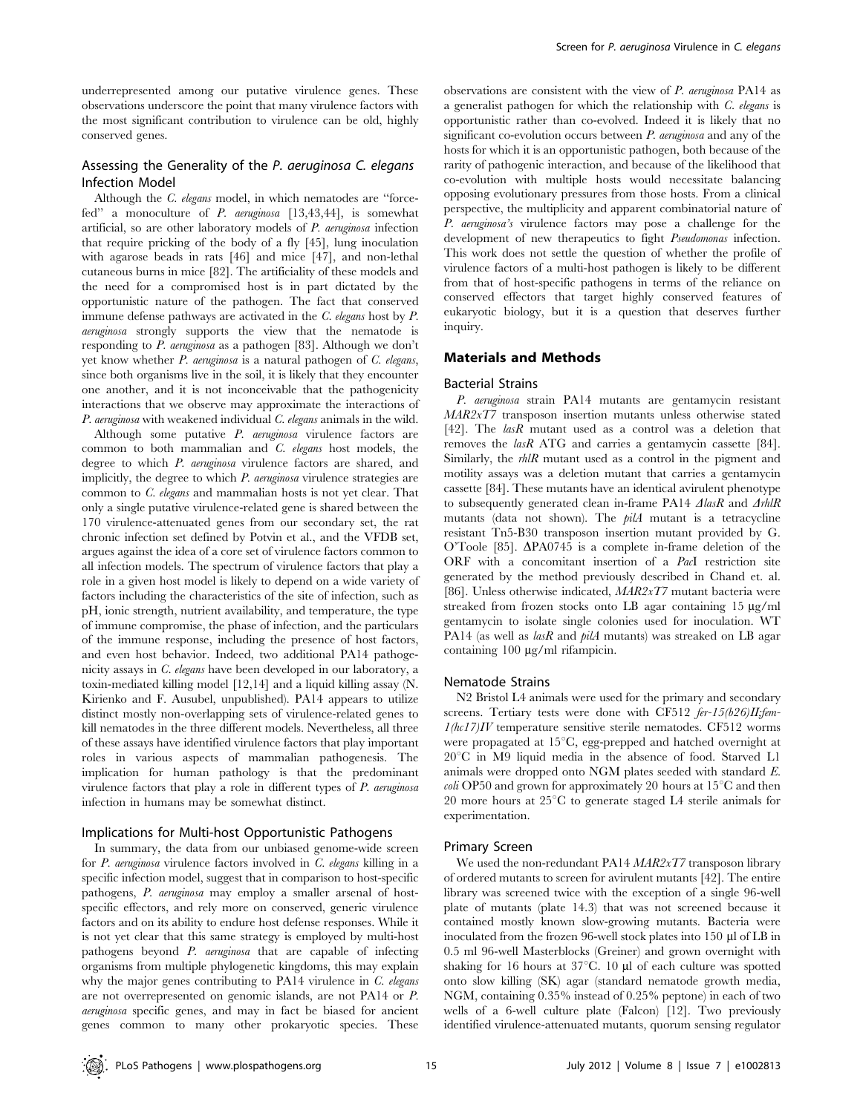underrepresented among our putative virulence genes. These observations underscore the point that many virulence factors with the most significant contribution to virulence can be old, highly conserved genes.

## Assessing the Generality of the P. aeruginosa C. elegans Infection Model

Although the C. elegans model, in which nematodes are "forcefed'' a monoculture of P. aeruginosa [13,43,44], is somewhat artificial, so are other laboratory models of P. aeruginosa infection that require pricking of the body of a fly [45], lung inoculation with agarose beads in rats [46] and mice [47], and non-lethal cutaneous burns in mice [82]. The artificiality of these models and the need for a compromised host is in part dictated by the opportunistic nature of the pathogen. The fact that conserved immune defense pathways are activated in the C. elegans host by P. aeruginosa strongly supports the view that the nematode is responding to P. aeruginosa as a pathogen [83]. Although we don't yet know whether P. aeruginosa is a natural pathogen of C. elegans, since both organisms live in the soil, it is likely that they encounter one another, and it is not inconceivable that the pathogenicity interactions that we observe may approximate the interactions of P. aeruginosa with weakened individual C. elegans animals in the wild.

Although some putative P. aeruginosa virulence factors are common to both mammalian and C. elegans host models, the degree to which *P. aeruginosa* virulence factors are shared, and implicitly, the degree to which P. aeruginosa virulence strategies are common to C. elegans and mammalian hosts is not yet clear. That only a single putative virulence-related gene is shared between the 170 virulence-attenuated genes from our secondary set, the rat chronic infection set defined by Potvin et al., and the VFDB set, argues against the idea of a core set of virulence factors common to all infection models. The spectrum of virulence factors that play a role in a given host model is likely to depend on a wide variety of factors including the characteristics of the site of infection, such as pH, ionic strength, nutrient availability, and temperature, the type of immune compromise, the phase of infection, and the particulars of the immune response, including the presence of host factors, and even host behavior. Indeed, two additional PA14 pathogenicity assays in C. elegans have been developed in our laboratory, a toxin-mediated killing model [12,14] and a liquid killing assay (N. Kirienko and F. Ausubel, unpublished). PA14 appears to utilize distinct mostly non-overlapping sets of virulence-related genes to kill nematodes in the three different models. Nevertheless, all three of these assays have identified virulence factors that play important roles in various aspects of mammalian pathogenesis. The implication for human pathology is that the predominant virulence factors that play a role in different types of P. aeruginosa infection in humans may be somewhat distinct.

#### Implications for Multi-host Opportunistic Pathogens

In summary, the data from our unbiased genome-wide screen for P. aeruginosa virulence factors involved in C. elegans killing in a specific infection model, suggest that in comparison to host-specific pathogens, P. aeruginosa may employ a smaller arsenal of hostspecific effectors, and rely more on conserved, generic virulence factors and on its ability to endure host defense responses. While it is not yet clear that this same strategy is employed by multi-host pathogens beyond P. aeruginosa that are capable of infecting organisms from multiple phylogenetic kingdoms, this may explain why the major genes contributing to PA14 virulence in C. elegans are not overrepresented on genomic islands, are not PA14 or P. aeruginosa specific genes, and may in fact be biased for ancient genes common to many other prokaryotic species. These

observations are consistent with the view of  $P$ . aeruginosa PA14 as a generalist pathogen for which the relationship with C. elegans is opportunistic rather than co-evolved. Indeed it is likely that no significant co-evolution occurs between  $P$ . aeruginosa and any of the hosts for which it is an opportunistic pathogen, both because of the rarity of pathogenic interaction, and because of the likelihood that co-evolution with multiple hosts would necessitate balancing opposing evolutionary pressures from those hosts. From a clinical perspective, the multiplicity and apparent combinatorial nature of P. aeruginosa's virulence factors may pose a challenge for the development of new therapeutics to fight Pseudomonas infection. This work does not settle the question of whether the profile of virulence factors of a multi-host pathogen is likely to be different from that of host-specific pathogens in terms of the reliance on conserved effectors that target highly conserved features of eukaryotic biology, but it is a question that deserves further inquiry.

#### Materials and Methods

#### Bacterial Strains

P. aeruginosa strain PA14 mutants are gentamycin resistant MAR2xT7 transposon insertion mutants unless otherwise stated [42]. The  $lasR$  mutant used as a control was a deletion that removes the lasR ATG and carries a gentamycin cassette [84]. Similarly, the  $rh$ lR mutant used as a control in the pigment and motility assays was a deletion mutant that carries a gentamycin cassette [84]. These mutants have an identical avirulent phenotype to subsequently generated clean in-frame PA14  $\Delta$ lasR and  $\Delta$ rhlR mutants (data not shown). The  $piA$  mutant is a tetracycline resistant Tn5-B30 transposon insertion mutant provided by G. O'Toole [85].  $\Delta$ PA0745 is a complete in-frame deletion of the ORF with a concomitant insertion of a PacI restriction site generated by the method previously described in Chand et. al. [86]. Unless otherwise indicated, MAR2xT7 mutant bacteria were streaked from frozen stocks onto LB agar containing  $15 \mu g/ml$ gentamycin to isolate single colonies used for inoculation. WT PA14 (as well as  $lasR$  and  $pilA$  mutants) was streaked on LB agar containing  $100 \mu g/ml$  rifampicin.

#### Nematode Strains

N2 Bristol L4 animals were used for the primary and secondary screens. Tertiary tests were done with CF512 fer-15(b26)II;fem- $1(hc17)IV$  temperature sensitive sterile nematodes. CF512 worms were propagated at  $15^{\circ}$ C, egg-prepped and hatched overnight at  $20^{\circ}$ C in M9 liquid media in the absence of food. Starved L1 animals were dropped onto NGM plates seeded with standard E. *coli* OP50 and grown for approximately 20 hours at  $15^{\circ}$ C and then 20 more hours at  $25^{\circ}$ C to generate staged L4 sterile animals for experimentation.

#### Primary Screen

We used the non-redundant PA14 *MAR2xT7* transposon library of ordered mutants to screen for avirulent mutants [42]. The entire library was screened twice with the exception of a single 96-well plate of mutants (plate 14.3) that was not screened because it contained mostly known slow-growing mutants. Bacteria were inoculated from the frozen 96-well stock plates into 150 µl of LB in 0.5 ml 96-well Masterblocks (Greiner) and grown overnight with shaking for 16 hours at  $37^{\circ}$ C. 10 µl of each culture was spotted onto slow killing (SK) agar (standard nematode growth media, NGM, containing 0.35% instead of 0.25% peptone) in each of two wells of a 6-well culture plate (Falcon) [12]. Two previously identified virulence-attenuated mutants, quorum sensing regulator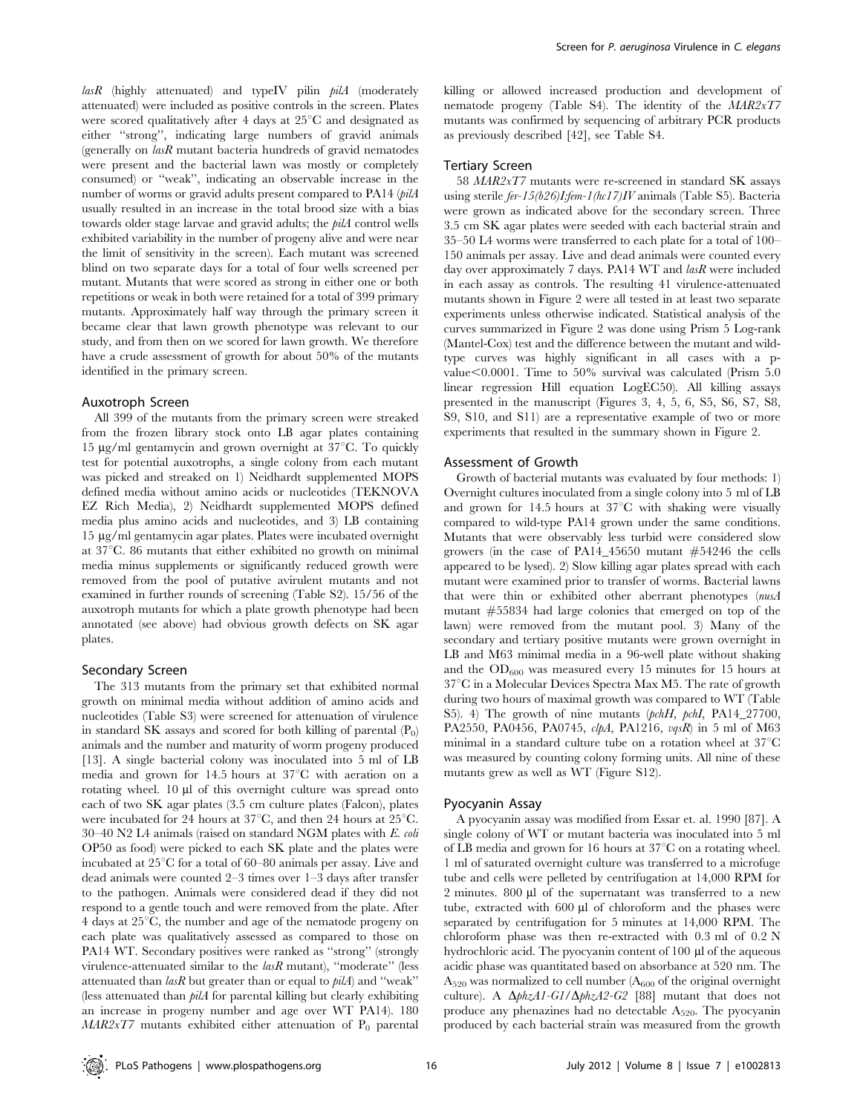$lasR$  (highly attenuated) and typeIV pilin  $pilA$  (moderately attenuated) were included as positive controls in the screen. Plates were scored qualitatively after 4 days at  $25^{\circ}$ C and designated as either ''strong'', indicating large numbers of gravid animals (generally on  $\text{las}R$  mutant bacteria hundreds of gravid nematodes were present and the bacterial lawn was mostly or completely consumed) or ''weak'', indicating an observable increase in the number of worms or gravid adults present compared to PA14 (pilA usually resulted in an increase in the total brood size with a bias towards older stage larvae and gravid adults; the pilA control wells exhibited variability in the number of progeny alive and were near the limit of sensitivity in the screen). Each mutant was screened blind on two separate days for a total of four wells screened per mutant. Mutants that were scored as strong in either one or both repetitions or weak in both were retained for a total of 399 primary mutants. Approximately half way through the primary screen it became clear that lawn growth phenotype was relevant to our study, and from then on we scored for lawn growth. We therefore have a crude assessment of growth for about 50% of the mutants identified in the primary screen.

#### Auxotroph Screen

All 399 of the mutants from the primary screen were streaked from the frozen library stock onto LB agar plates containing 15  $\mu$ g/ml gentamycin and grown overnight at 37 $^{\circ}$ C. To quickly test for potential auxotrophs, a single colony from each mutant was picked and streaked on 1) Neidhardt supplemented MOPS defined media without amino acids or nucleotides (TEKNOVA EZ Rich Media), 2) Neidhardt supplemented MOPS defined media plus amino acids and nucleotides, and 3) LB containing 15 mg/ml gentamycin agar plates. Plates were incubated overnight at  $37^{\circ}$ C. 86 mutants that either exhibited no growth on minimal media minus supplements or significantly reduced growth were removed from the pool of putative avirulent mutants and not examined in further rounds of screening (Table S2). 15/56 of the auxotroph mutants for which a plate growth phenotype had been annotated (see above) had obvious growth defects on SK agar plates.

#### Secondary Screen

The 313 mutants from the primary set that exhibited normal growth on minimal media without addition of amino acids and nucleotides (Table S3) were screened for attenuation of virulence in standard SK assays and scored for both killing of parental  $(P_0)$ animals and the number and maturity of worm progeny produced [13]. A single bacterial colony was inoculated into 5 ml of LB media and grown for 14.5 hours at  $37^{\circ}$ C with aeration on a rotating wheel.  $10 \mu l$  of this overnight culture was spread onto each of two SK agar plates (3.5 cm culture plates (Falcon), plates were incubated for 24 hours at  $37^{\circ}$ C, and then 24 hours at  $25^{\circ}$ C. 30–40 N2 L4 animals (raised on standard NGM plates with E. coli OP50 as food) were picked to each SK plate and the plates were incubated at  $25^{\circ}$ C for a total of 60–80 animals per assay. Live and dead animals were counted 2–3 times over 1–3 days after transfer to the pathogen. Animals were considered dead if they did not respond to a gentle touch and were removed from the plate. After 4 days at  $25^{\circ}$ C, the number and age of the nematode progeny on each plate was qualitatively assessed as compared to those on PA14 WT. Secondary positives were ranked as ''strong'' (strongly virulence-attenuated similar to the lasR mutant), ''moderate'' (less attenuated than *lasR* but greater than or equal to  $piA$ ) and "weak" (less attenuated than  $p \mathcal{U} A$  for parental killing but clearly exhibiting an increase in progeny number and age over WT PA14). 180  $MAR2xT7$  mutants exhibited either attenuation of P<sub>0</sub> parental

killing or allowed increased production and development of nematode progeny (Table S4). The identity of the MAR2xT7 mutants was confirmed by sequencing of arbitrary PCR products as previously described [42], see Table S4.

## Tertiary Screen

58 MAR2xT7 mutants were re-screened in standard SK assays using sterile fer-15(b26)I:fem-1(hc17)IV animals (Table S5). Bacteria were grown as indicated above for the secondary screen. Three 3.5 cm SK agar plates were seeded with each bacterial strain and 35–50 L4 worms were transferred to each plate for a total of 100– 150 animals per assay. Live and dead animals were counted every day over approximately 7 days. PA14 WT and *lasR* were included in each assay as controls. The resulting 41 virulence-attenuated mutants shown in Figure 2 were all tested in at least two separate experiments unless otherwise indicated. Statistical analysis of the curves summarized in Figure 2 was done using Prism 5 Log-rank (Mantel-Cox) test and the difference between the mutant and wildtype curves was highly significant in all cases with a pvalue $< 0.0001$ . Time to 50% survival was calculated (Prism 5.0) linear regression Hill equation LogEC50). All killing assays presented in the manuscript (Figures 3, 4, 5, 6, S5, S6, S7, S8, S9, S10, and S11) are a representative example of two or more experiments that resulted in the summary shown in Figure 2.

#### Assessment of Growth

Growth of bacterial mutants was evaluated by four methods: 1) Overnight cultures inoculated from a single colony into 5 ml of LB and grown for 14.5 hours at  $37^{\circ}$ C with shaking were visually compared to wild-type PA14 grown under the same conditions. Mutants that were observably less turbid were considered slow growers (in the case of PA14\_45650 mutant #54246 the cells appeared to be lysed). 2) Slow killing agar plates spread with each mutant were examined prior to transfer of worms. Bacterial lawns that were thin or exhibited other aberrant phenotypes (nusA mutant #55834 had large colonies that emerged on top of the lawn) were removed from the mutant pool. 3) Many of the secondary and tertiary positive mutants were grown overnight in LB and M63 minimal media in a 96-well plate without shaking and the  $OD_{600}$  was measured every 15 minutes for 15 hours at  $37^{\circ}$ C in a Molecular Devices Spectra Max M5. The rate of growth during two hours of maximal growth was compared to WT (Table S5). 4) The growth of nine mutants (pchH, pchI, PA14\_27700, PA2550, PA0456, PA0745, clpA, PA1216, vqsR) in 5 ml of M63 minimal in a standard culture tube on a rotation wheel at  $37^{\circ}$ C was measured by counting colony forming units. All nine of these mutants grew as well as WT (Figure S12).

#### Pyocyanin Assay

A pyocyanin assay was modified from Essar et. al. 1990 [87]. A single colony of WT or mutant bacteria was inoculated into 5 ml of LB media and grown for 16 hours at  $37^{\circ}$ C on a rotating wheel. 1 ml of saturated overnight culture was transferred to a microfuge tube and cells were pelleted by centrifugation at 14,000 RPM for 2 minutes. 800  $\mu$ l of the supernatant was transferred to a new tube, extracted with 600 µl of chloroform and the phases were separated by centrifugation for 5 minutes at 14,000 RPM. The chloroform phase was then re-extracted with 0.3 ml of 0.2 N hydrochloric acid. The pyocyanin content of 100  $\mu$ l of the aqueous acidic phase was quantitated based on absorbance at 520 nm. The  $A_{520}$  was normalized to cell number ( $A_{600}$  of the original overnight culture). A  $\Delta phzA1-G1/\Delta phzA2-G2$  [88] mutant that does not produce any phenazines had no detectable  $A_{520}$ . The pyocyanin produced by each bacterial strain was measured from the growth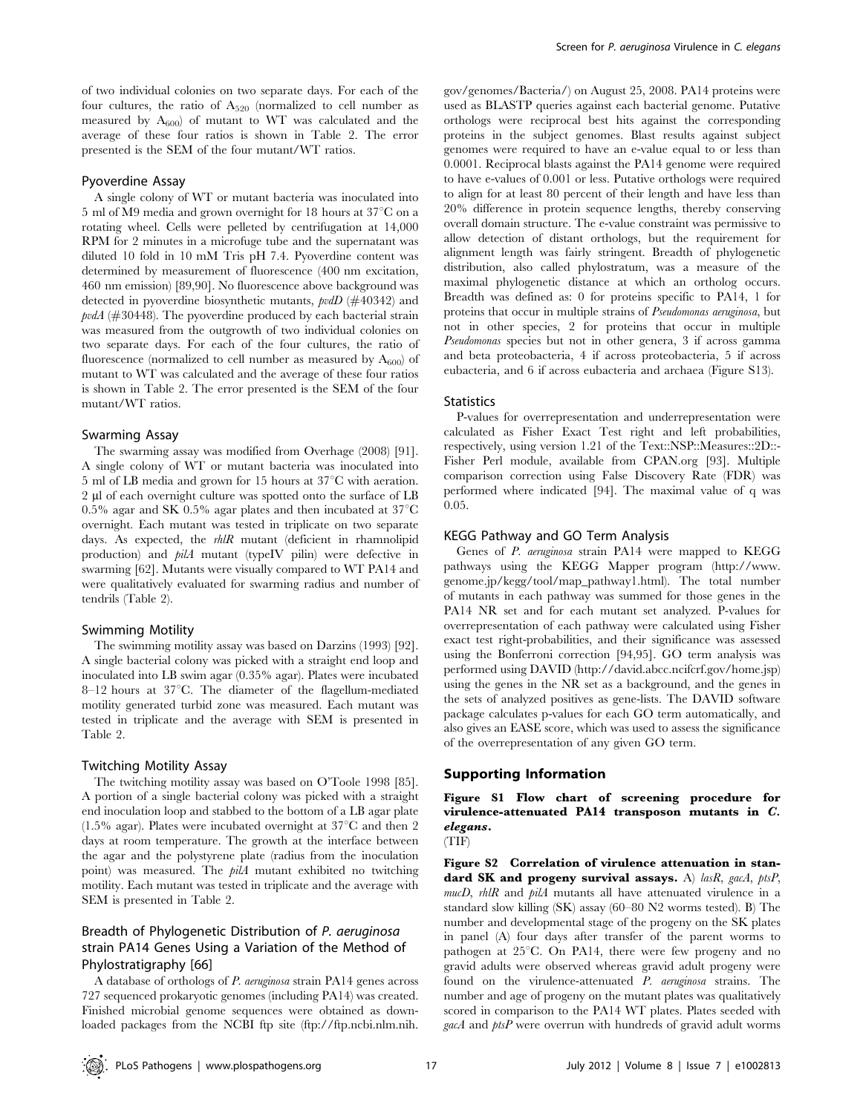of two individual colonies on two separate days. For each of the four cultures, the ratio of  $A_{520}$  (normalized to cell number as measured by  $A_{600}$  of mutant to WT was calculated and the average of these four ratios is shown in Table 2. The error presented is the SEM of the four mutant/WT ratios.

#### Pyoverdine Assay

A single colony of WT or mutant bacteria was inoculated into 5 ml of M9 media and grown overnight for 18 hours at  $37^{\circ}$ C on a rotating wheel. Cells were pelleted by centrifugation at 14,000 RPM for 2 minutes in a microfuge tube and the supernatant was diluted 10 fold in 10 mM Tris pH 7.4. Pyoverdine content was determined by measurement of fluorescence (400 nm excitation, 460 nm emission) [89,90]. No fluorescence above background was detected in pyoverdine biosynthetic mutants,  $pvdD$  (#40342) and  $pvdA$  (#30448). The pyoverdine produced by each bacterial strain was measured from the outgrowth of two individual colonies on two separate days. For each of the four cultures, the ratio of fluorescence (normalized to cell number as measured by  $A_{600}$ ) of mutant to WT was calculated and the average of these four ratios is shown in Table 2. The error presented is the SEM of the four mutant/WT ratios.

#### Swarming Assay

The swarming assay was modified from Overhage (2008) [91]. A single colony of WT or mutant bacteria was inoculated into 5 ml of LB media and grown for 15 hours at  $37^{\circ}$ C with aeration. 2 µl of each overnight culture was spotted onto the surface of LB 0.5% agar and SK 0.5% agar plates and then incubated at  $37^{\circ}$ C overnight. Each mutant was tested in triplicate on two separate days. As expected, the  $\hbar lR$  mutant (deficient in rhamnolipid production) and pilA mutant (typeIV pilin) were defective in swarming [62]. Mutants were visually compared to WT PA14 and were qualitatively evaluated for swarming radius and number of tendrils (Table 2).

#### Swimming Motility

The swimming motility assay was based on Darzins (1993) [92]. A single bacterial colony was picked with a straight end loop and inoculated into LB swim agar (0.35% agar). Plates were incubated 8–12 hours at  $37^{\circ}$ C. The diameter of the flagellum-mediated motility generated turbid zone was measured. Each mutant was tested in triplicate and the average with SEM is presented in Table 2.

#### Twitching Motility Assay

The twitching motility assay was based on O'Toole 1998 [85]. A portion of a single bacterial colony was picked with a straight end inoculation loop and stabbed to the bottom of a LB agar plate (1.5% agar). Plates were incubated overnight at  $37^{\circ}$ C and then 2 days at room temperature. The growth at the interface between the agar and the polystyrene plate (radius from the inoculation point) was measured. The *pilA* mutant exhibited no twitching motility. Each mutant was tested in triplicate and the average with SEM is presented in Table 2.

## Breadth of Phylogenetic Distribution of P. aeruginosa strain PA14 Genes Using a Variation of the Method of Phylostratigraphy [66]

A database of orthologs of P. aeruginosa strain PA14 genes across 727 sequenced prokaryotic genomes (including PA14) was created. Finished microbial genome sequences were obtained as downloaded packages from the NCBI ftp site (ftp://ftp.ncbi.nlm.nih.

gov/genomes/Bacteria/) on August 25, 2008. PA14 proteins were used as BLASTP queries against each bacterial genome. Putative orthologs were reciprocal best hits against the corresponding proteins in the subject genomes. Blast results against subject genomes were required to have an e-value equal to or less than 0.0001. Reciprocal blasts against the PA14 genome were required to have e-values of 0.001 or less. Putative orthologs were required to align for at least 80 percent of their length and have less than 20% difference in protein sequence lengths, thereby conserving overall domain structure. The e-value constraint was permissive to allow detection of distant orthologs, but the requirement for alignment length was fairly stringent. Breadth of phylogenetic distribution, also called phylostratum, was a measure of the maximal phylogenetic distance at which an ortholog occurs. Breadth was defined as: 0 for proteins specific to PA14, 1 for proteins that occur in multiple strains of Pseudomonas aeruginosa, but not in other species, 2 for proteins that occur in multiple Pseudomonas species but not in other genera, 3 if across gamma and beta proteobacteria, 4 if across proteobacteria, 5 if across eubacteria, and 6 if across eubacteria and archaea (Figure S13).

#### **Statistics**

P-values for overrepresentation and underrepresentation were calculated as Fisher Exact Test right and left probabilities, respectively, using version 1.21 of the Text::NSP::Measures::2D::- Fisher Perl module, available from CPAN.org [93]. Multiple comparison correction using False Discovery Rate (FDR) was performed where indicated [94]. The maximal value of q was 0.05.

#### KEGG Pathway and GO Term Analysis

Genes of P. aeruginosa strain PA14 were mapped to KEGG pathways using the KEGG Mapper program (http://www. genome.jp/kegg/tool/map\_pathway1.html). The total number of mutants in each pathway was summed for those genes in the PA14 NR set and for each mutant set analyzed. P-values for overrepresentation of each pathway were calculated using Fisher exact test right-probabilities, and their significance was assessed using the Bonferroni correction [94,95]. GO term analysis was performed using DAVID (http://david.abcc.ncifcrf.gov/home.jsp) using the genes in the NR set as a background, and the genes in the sets of analyzed positives as gene-lists. The DAVID software package calculates p-values for each GO term automatically, and also gives an EASE score, which was used to assess the significance of the overrepresentation of any given GO term.

#### Supporting Information

Figure S1 Flow chart of screening procedure for virulence-attenuated PA14 transposon mutants in C. elegans.

Figure S2 Correlation of virulence attenuation in standard SK and progeny survival assays. A) lasR, gacA, ptsP,  $mucD$ ,  $rh$  and  $pi/4$  mutants all have attenuated virulence in a standard slow killing (SK) assay (60–80 N2 worms tested). B) The number and developmental stage of the progeny on the SK plates in panel (A) four days after transfer of the parent worms to pathogen at  $25^{\circ}$ C. On PA14, there were few progeny and no gravid adults were observed whereas gravid adult progeny were found on the virulence-attenuated P. aeruginosa strains. The number and age of progeny on the mutant plates was qualitatively scored in comparison to the PA14 WT plates. Plates seeded with gacA and ptsP were overrun with hundreds of gravid adult worms

<sup>(</sup>TIF)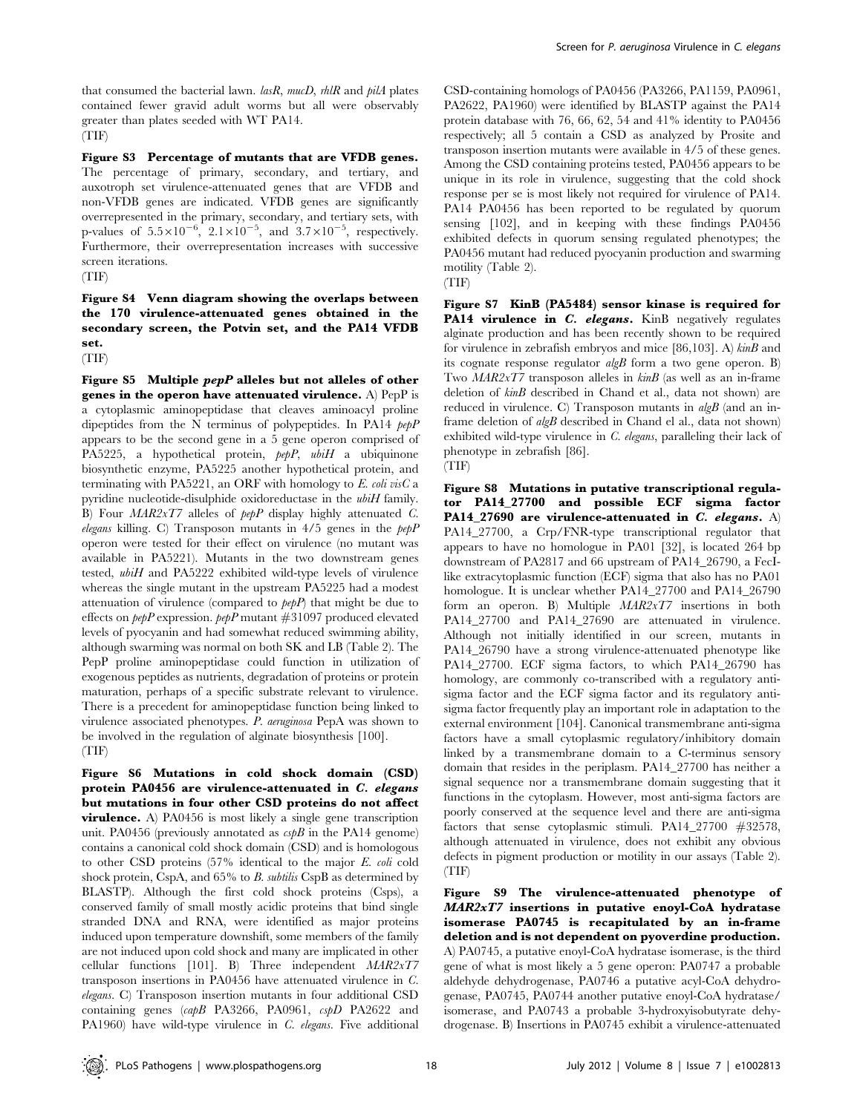that consumed the bacterial lawn. *lasR*,  $mucD$ ,  $rh$ *lR* and  $pi/4$  plates contained fewer gravid adult worms but all were observably greater than plates seeded with WT PA14. (TIF)

Figure S3 Percentage of mutants that are VFDB genes. The percentage of primary, secondary, and tertiary, and auxotroph set virulence-attenuated genes that are VFDB and non-VFDB genes are indicated. VFDB genes are significantly overrepresented in the primary, secondary, and tertiary sets, with p-values of  $5.5 \times 10^{-6}$ ,  $2.1 \times 10^{-5}$ , and  $3.7 \times 10^{-5}$ , respectively. Furthermore, their overrepresentation increases with successive screen iterations.

(TIF)

Figure S4 Venn diagram showing the overlaps between the 170 virulence-attenuated genes obtained in the secondary screen, the Potvin set, and the PA14 VFDB set. (TIF)

Figure S5 Multiple pepP alleles but not alleles of other genes in the operon have attenuated virulence. A) PepP is a cytoplasmic aminopeptidase that cleaves aminoacyl proline dipeptides from the N terminus of polypeptides. In PA14 pepP appears to be the second gene in a 5 gene operon comprised of PA5225, a hypothetical protein,  $pepP$ ,  $ubiH$  a ubiquinone biosynthetic enzyme, PA5225 another hypothetical protein, and terminating with PA5221, an ORF with homology to  $E$ . coli vis $C$  a pyridine nucleotide-disulphide oxidoreductase in the ubiH family. B) Four MAR2xT7 alleles of pepP display highly attenuated C. elegans killing. C) Transposon mutants in  $4/5$  genes in the pepP operon were tested for their effect on virulence (no mutant was available in PA5221). Mutants in the two downstream genes tested, ubiH and PA5222 exhibited wild-type levels of virulence whereas the single mutant in the upstream PA5225 had a modest attenuation of virulence (compared to  $pepP$ ) that might be due to effects on  $pep$ P expression.  $pep$ P mutant  $\#31097$  produced elevated levels of pyocyanin and had somewhat reduced swimming ability, although swarming was normal on both SK and LB (Table 2). The PepP proline aminopeptidase could function in utilization of exogenous peptides as nutrients, degradation of proteins or protein maturation, perhaps of a specific substrate relevant to virulence. There is a precedent for aminopeptidase function being linked to virulence associated phenotypes. P. aeruginosa PepA was shown to be involved in the regulation of alginate biosynthesis [100]. (TIF)

Figure S6 Mutations in cold shock domain (CSD) protein PA0456 are virulence-attenuated in C. elegans but mutations in four other CSD proteins do not affect **virulence.** A) PA0456 is most likely a single gene transcription unit. PA0456 (previously annotated as  $cspB$  in the PA14 genome) contains a canonical cold shock domain (CSD) and is homologous to other CSD proteins (57% identical to the major E. coli cold shock protein, CspA, and 65% to B. subtilis CspB as determined by BLASTP). Although the first cold shock proteins (Csps), a conserved family of small mostly acidic proteins that bind single stranded DNA and RNA, were identified as major proteins induced upon temperature downshift, some members of the family are not induced upon cold shock and many are implicated in other cellular functions [101]. B) Three independent MAR2xT7 transposon insertions in PA0456 have attenuated virulence in C. elegans. C) Transposon insertion mutants in four additional CSD containing genes (capB PA3266, PA0961, cspD PA2622 and PA1960) have wild-type virulence in C. elegans. Five additional

CSD-containing homologs of PA0456 (PA3266, PA1159, PA0961, PA2622, PA1960) were identified by BLASTP against the PA14 protein database with 76, 66, 62, 54 and 41% identity to PA0456 respectively; all 5 contain a CSD as analyzed by Prosite and transposon insertion mutants were available in 4/5 of these genes. Among the CSD containing proteins tested, PA0456 appears to be unique in its role in virulence, suggesting that the cold shock response per se is most likely not required for virulence of PA14. PA14 PA0456 has been reported to be regulated by quorum sensing [102], and in keeping with these findings PA0456 exhibited defects in quorum sensing regulated phenotypes; the PA0456 mutant had reduced pyocyanin production and swarming motility (Table 2).



Figure S7 KinB (PA5484) sensor kinase is required for PA14 virulence in C. elegans. KinB negatively regulates alginate production and has been recently shown to be required for virulence in zebrafish embryos and mice [86,103]. A)  $\text{kmB}$  and its cognate response regulator  $a \not\in B$  form a two gene operon. B) Two  $MAR2xT7$  transposon alleles in  $\sin B$  (as well as an in-frame deletion of kinB described in Chand et al., data not shown) are reduced in virulence. C) Transposon mutants in  $algB$  (and an inframe deletion of algB described in Chand el al., data not shown) exhibited wild-type virulence in C. elegans, paralleling their lack of phenotype in zebrafish [86].



Figure S8 Mutations in putative transcriptional regulator PA14\_27700 and possible ECF sigma factor PA14\_27690 are virulence-attenuated in  $C$ . elegans. A) PA14\_27700, a Crp/FNR-type transcriptional regulator that appears to have no homologue in PA01 [32], is located 264 bp downstream of PA2817 and 66 upstream of PA14\_26790, a FecIlike extracytoplasmic function (ECF) sigma that also has no PA01 homologue. It is unclear whether PA14\_27700 and PA14\_26790 form an operon. B) Multiple MAR2xT7 insertions in both PA14\_27700 and PA14\_27690 are attenuated in virulence. Although not initially identified in our screen, mutants in PA14\_26790 have a strong virulence-attenuated phenotype like PA14\_27700. ECF sigma factors, to which PA14\_26790 has homology, are commonly co-transcribed with a regulatory antisigma factor and the ECF sigma factor and its regulatory antisigma factor frequently play an important role in adaptation to the external environment [104]. Canonical transmembrane anti-sigma factors have a small cytoplasmic regulatory/inhibitory domain linked by a transmembrane domain to a C-terminus sensory domain that resides in the periplasm. PA14\_27700 has neither a signal sequence nor a transmembrane domain suggesting that it functions in the cytoplasm. However, most anti-sigma factors are poorly conserved at the sequence level and there are anti-sigma factors that sense cytoplasmic stimuli. PA14\_27700 #32578, although attenuated in virulence, does not exhibit any obvious defects in pigment production or motility in our assays (Table 2). (TIF)

Figure S9 The virulence-attenuated phenotype of MAR2xT7 insertions in putative enoyl-CoA hydratase isomerase PA0745 is recapitulated by an in-frame deletion and is not dependent on pyoverdine production. A) PA0745, a putative enoyl-CoA hydratase isomerase, is the third gene of what is most likely a 5 gene operon: PA0747 a probable aldehyde dehydrogenase, PA0746 a putative acyl-CoA dehydrogenase, PA0745, PA0744 another putative enoyl-CoA hydratase/ isomerase, and PA0743 a probable 3-hydroxyisobutyrate dehydrogenase. B) Insertions in PA0745 exhibit a virulence-attenuated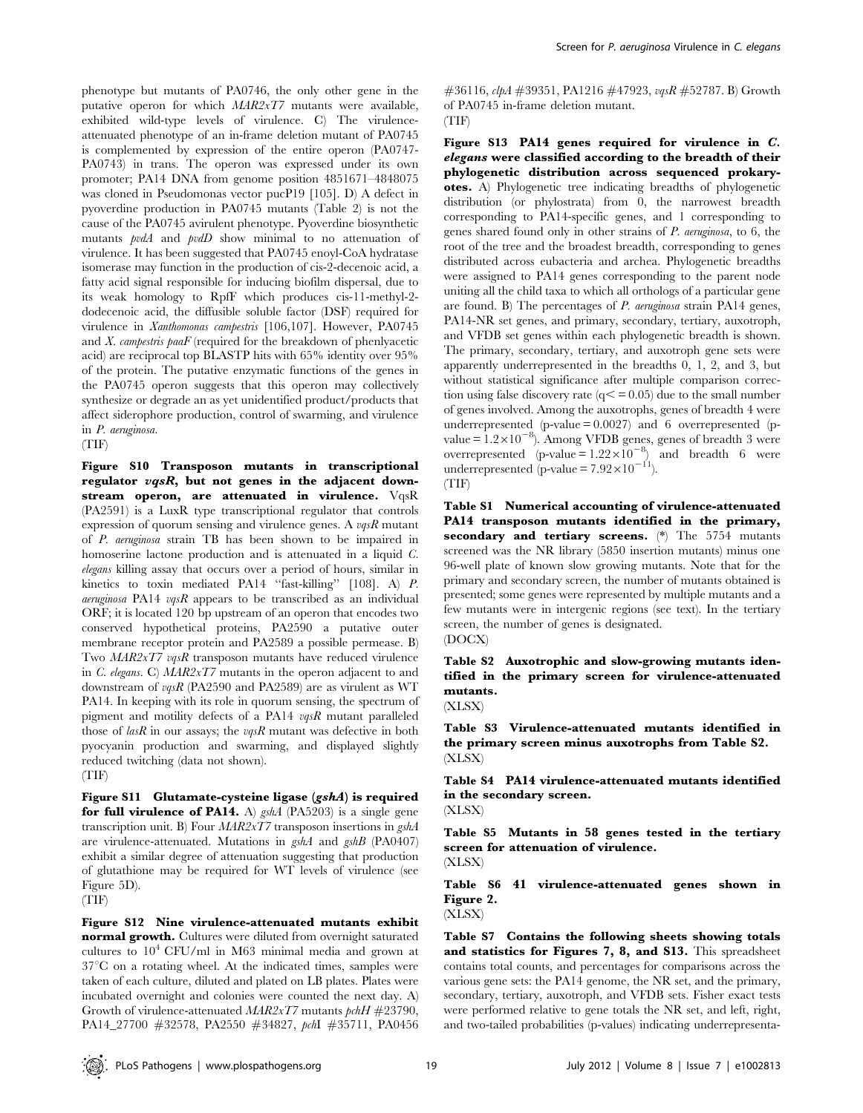phenotype but mutants of PA0746, the only other gene in the putative operon for which  $MAR2xT7$  mutants were available, exhibited wild-type levels of virulence. C) The virulenceattenuated phenotype of an in-frame deletion mutant of PA0745 is complemented by expression of the entire operon (PA0747- PA0743) in trans. The operon was expressed under its own promoter; PA14 DNA from genome position 4851671–4848075 was cloned in Pseudomonas vector pucP19 [105]. D) A defect in pyoverdine production in PA0745 mutants (Table 2) is not the cause of the PA0745 avirulent phenotype. Pyoverdine biosynthetic mutants pvdA and pvdD show minimal to no attenuation of virulence. It has been suggested that PA0745 enoyl-CoA hydratase isomerase may function in the production of cis-2-decenoic acid, a fatty acid signal responsible for inducing biofilm dispersal, due to its weak homology to RpfF which produces cis-11-methyl-2 dodecenoic acid, the diffusible soluble factor (DSF) required for virulence in Xanthomonas campestris [106,107]. However, PA0745 and X. campestris paaF (required for the breakdown of phenlyacetic acid) are reciprocal top BLASTP hits with 65% identity over 95% of the protein. The putative enzymatic functions of the genes in the PA0745 operon suggests that this operon may collectively synthesize or degrade an as yet unidentified product/products that affect siderophore production, control of swarming, and virulence in P. aeruginosa.

(TIF)

Figure S10 Transposon mutants in transcriptional regulator vqsR, but not genes in the adjacent downstream operon, are attenuated in virulence. VqsR (PA2591) is a LuxR type transcriptional regulator that controls expression of quorum sensing and virulence genes. A  $\nu q s R$  mutant of P. aeruginosa strain TB has been shown to be impaired in homoserine lactone production and is attenuated in a liquid C. elegans killing assay that occurs over a period of hours, similar in kinetics to toxin mediated PA14 "fast-killing" [108]. A) P.  $a$ eruginosa PA14 vqs $R$  appears to be transcribed as an individual ORF; it is located 120 bp upstream of an operon that encodes two conserved hypothetical proteins, PA2590 a putative outer membrane receptor protein and PA2589 a possible permease. B) Two MAR2xT7 vqsR transposon mutants have reduced virulence in C. elegans. C) MAR2xT7 mutants in the operon adjacent to and downstream of vqsR (PA2590 and PA2589) are as virulent as WT PA14. In keeping with its role in quorum sensing, the spectrum of pigment and motility defects of a PA14 vqsR mutant paralleled those of *lasR* in our assays; the  $\nu qsR$  mutant was defective in both pyocyanin production and swarming, and displayed slightly reduced twitching (data not shown). (TIF)

Figure S11 Glutamate-cysteine ligase (gshA) is required for full virulence of PA14. A)  $gshA$  (PA5203) is a single gene transcription unit. B) Four  $MAR2xT7$  transposon insertions in  $gshA$ are virulence-attenuated. Mutations in  $gshA$  and  $gshB$  (PA0407) exhibit a similar degree of attenuation suggesting that production of glutathione may be required for WT levels of virulence (see Figure 5D).

(TIF)

Figure S12 Nine virulence-attenuated mutants exhibit normal growth. Cultures were diluted from overnight saturated cultures to  $10^4$  CFU/ml in M63 minimal media and grown at  $37^{\circ}$ C on a rotating wheel. At the indicated times, samples were taken of each culture, diluted and plated on LB plates. Plates were incubated overnight and colonies were counted the next day. A) Growth of virulence-attenuated  $MAR2xT7$  mutants  $pchH #23790$ , PA14\_27700 #32578, PA2550 #34827, pchI #35711, PA0456

#36116, clpA #39351, PA1216 #47923, vqsR #52787. B) Growth of PA0745 in-frame deletion mutant. (TIF)

Figure S13 PA14 genes required for virulence in C. elegans were classified according to the breadth of their phylogenetic distribution across sequenced prokaryotes. A) Phylogenetic tree indicating breadths of phylogenetic distribution (or phylostrata) from 0, the narrowest breadth corresponding to PA14-specific genes, and 1 corresponding to genes shared found only in other strains of P. aeruginosa, to 6, the root of the tree and the broadest breadth, corresponding to genes distributed across eubacteria and archea. Phylogenetic breadths were assigned to PA14 genes corresponding to the parent node uniting all the child taxa to which all orthologs of a particular gene are found. B) The percentages of P. aeruginosa strain PA14 genes, PA14-NR set genes, and primary, secondary, tertiary, auxotroph, and VFDB set genes within each phylogenetic breadth is shown. The primary, secondary, tertiary, and auxotroph gene sets were apparently underrepresented in the breadths 0, 1, 2, and 3, but without statistical significance after multiple comparison correction using false discovery rate  $(q \le 0.05)$  due to the small number of genes involved. Among the auxotrophs, genes of breadth 4 were underrepresented (p-value  $= 0.0027$ ) and 6 overrepresented (pvalue =  $1.2 \times 10^{-8}$ ). Among VFDB genes, genes of breadth 3 were overrepresented (p-value =  $1.22 \times 10^{-8}$ ) and breadth 6 were underrepresented (p-value =  $7.92 \times 10^{-11}$ ).

(TIF)

Table S1 Numerical accounting of virulence-attenuated PA14 transposon mutants identified in the primary, secondary and tertiary screens. (\*) The 5754 mutants screened was the NR library (5850 insertion mutants) minus one 96-well plate of known slow growing mutants. Note that for the primary and secondary screen, the number of mutants obtained is presented; some genes were represented by multiple mutants and a few mutants were in intergenic regions (see text). In the tertiary screen, the number of genes is designated. (DOCX)

Table S2 Auxotrophic and slow-growing mutants identified in the primary screen for virulence-attenuated mutants. (XLSX)

Table S3 Virulence-attenuated mutants identified in the primary screen minus auxotrophs from Table S2. (XLSX)

Table S4 PA14 virulence-attenuated mutants identified in the secondary screen. (XLSX)

Table S5 Mutants in 58 genes tested in the tertiary screen for attenuation of virulence. (XLSX)

Table S6 41 virulence-attenuated genes shown in Figure 2.

(XLSX)

Table S7 Contains the following sheets showing totals and statistics for Figures 7, 8, and S13. This spreadsheet contains total counts, and percentages for comparisons across the various gene sets: the PA14 genome, the NR set, and the primary, secondary, tertiary, auxotroph, and VFDB sets. Fisher exact tests were performed relative to gene totals the NR set, and left, right, and two-tailed probabilities (p-values) indicating underrepresenta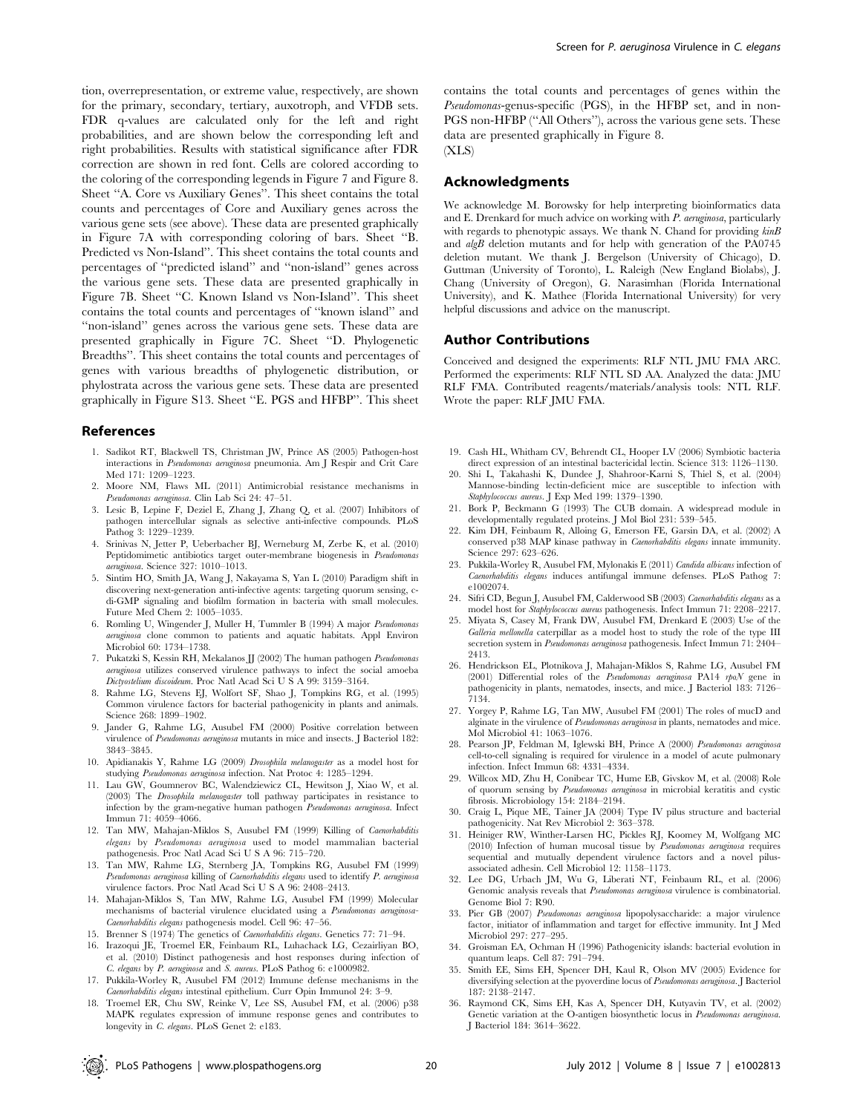tion, overrepresentation, or extreme value, respectively, are shown for the primary, secondary, tertiary, auxotroph, and VFDB sets. FDR q-values are calculated only for the left and right probabilities, and are shown below the corresponding left and right probabilities. Results with statistical significance after FDR correction are shown in red font. Cells are colored according to the coloring of the corresponding legends in Figure 7 and Figure 8. Sheet ''A. Core vs Auxiliary Genes''. This sheet contains the total counts and percentages of Core and Auxiliary genes across the various gene sets (see above). These data are presented graphically in Figure 7A with corresponding coloring of bars. Sheet ''B. Predicted vs Non-Island''. This sheet contains the total counts and percentages of ''predicted island'' and ''non-island'' genes across the various gene sets. These data are presented graphically in Figure 7B. Sheet ''C. Known Island vs Non-Island''. This sheet contains the total counts and percentages of ''known island'' and ''non-island'' genes across the various gene sets. These data are presented graphically in Figure 7C. Sheet ''D. Phylogenetic Breadths''. This sheet contains the total counts and percentages of genes with various breadths of phylogenetic distribution, or phylostrata across the various gene sets. These data are presented graphically in Figure S13. Sheet ''E. PGS and HFBP''. This sheet

## References

- 1. Sadikot RT, Blackwell TS, Christman JW, Prince AS (2005) Pathogen-host interactions in Pseudomonas aeruginosa pneumonia. Am J Respir and Crit Care Med 171: 1209–1223.
- 2. Moore NM, Flaws ML (2011) Antimicrobial resistance mechanisms in Pseudomonas aeruginosa. Clin Lab Sci 24: 47–51.
- 3. Lesic B, Lepine F, Deziel E, Zhang J, Zhang Q, et al. (2007) Inhibitors of pathogen intercellular signals as selective anti-infective compounds. PLoS Pathog 3: 1229–1239.
- 4. Srinivas N, Jetter P, Ueberbacher BJ, Werneburg M, Zerbe K, et al. (2010) Peptidomimetic antibiotics target outer-membrane biogenesis in Pseudomonas aeruginosa. Science 327: 1010–1013.
- 5. Sintim HO, Smith JA, Wang J, Nakayama S, Yan L (2010) Paradigm shift in discovering next-generation anti-infective agents: targeting quorum sensing, cdi-GMP signaling and biofilm formation in bacteria with small molecules. Future Med Chem 2: 1005–1035.
- 6. Romling U, Wingender J, Muller H, Tummler B (1994) A major Pseudomonas aeruginosa clone common to patients and aquatic habitats. Appl Environ Microbiol 60: 1734–1738.
- 7. Pukatzki S, Kessin RH, Mekalanos JJ (2002) The human pathogen Pseudomonas aeruginosa utilizes conserved virulence pathways to infect the social amoeba Dictyostelium discoideum. Proc Natl Acad Sci U S A 99: 3159–3164.
- 8. Rahme LG, Stevens EJ, Wolfort SF, Shao J, Tompkins RG, et al. (1995) Common virulence factors for bacterial pathogenicity in plants and animals. Science 268: 1899–1902.
- 9. Jander G, Rahme LG, Ausubel FM (2000) Positive correlation between virulence of Pseudomonas aeruginosa mutants in mice and insects. J Bacteriol 182: 3843–3845.
- 10. Apidianakis Y, Rahme LG (2009) Drosophila melanogaster as a model host for studying Pseudomonas aeruginosa infection. Nat Protoc 4: 1285-1294.
- 11. Lau GW, Goumnerov BC, Walendziewicz CL, Hewitson J, Xiao W, et al. (2003) The Drosophila melanogaster toll pathway participates in resistance to infection by the gram-negative human pathogen Pseudomonas aeruginosa. Infect Immun 71: 4059–4066.
- 12. Tan MW, Mahajan-Miklos S, Ausubel FM (1999) Killing of Caenorhabditis elegans by Pseudomonas aeruginosa used to model mammalian bacterial pathogenesis. Proc Natl Acad Sci U S A 96: 715–720.
- 13. Tan MW, Rahme LG, Sternberg JA, Tompkins RG, Ausubel FM (1999) Pseudomonas aeruginosa killing of Caenorhabditis elegans used to identify P. aeruginosa virulence factors. Proc Natl Acad Sci U S A 96: 2408–2413.
- 14. Mahajan-Miklos S, Tan MW, Rahme LG, Ausubel FM (1999) Molecular mechanisms of bacterial virulence elucidated using a Pseudomonas aeruginosa-Caenorhabditis elegans pathogenesis model. Cell 96: 47–56.
- 15. Brenner S (1974) The genetics of Caenorhabditis elegans. Genetics 77: 71–94.
- 16. Irazoqui JE, Troemel ER, Feinbaum RL, Luhachack LG, Cezairliyan BO, et al. (2010) Distinct pathogenesis and host responses during infection of C. elegans by P. aeruginosa and S. aureus. PLoS Pathog 6: e1000982.
- 17. Pukkila-Worley R, Ausubel FM (2012) Immune defense mechanisms in the Caenorhabditis elegans intestinal epithelium. Curr Opin Immunol 24: 3–9.
- 18. Troemel ER, Chu SW, Reinke V, Lee SS, Ausubel FM, et al. (2006) p38 MAPK regulates expression of immune response genes and contributes to longevity in C. elegans. PLoS Genet 2: e183.

contains the total counts and percentages of genes within the Pseudomonas-genus-specific (PGS), in the HFBP set, and in non-PGS non-HFBP (''All Others''), across the various gene sets. These data are presented graphically in Figure 8.  $(XLS)$ 

#### Acknowledgments

We acknowledge M. Borowsky for help interpreting bioinformatics data and E. Drenkard for much advice on working with P. aeruginosa, particularly with regards to phenotypic assays. We thank N. Chand for providing  $\sin B$ and  $algB$  deletion mutants and for help with generation of the PA0745 deletion mutant. We thank J. Bergelson (University of Chicago), D. Guttman (University of Toronto), L. Raleigh (New England Biolabs), J. Chang (University of Oregon), G. Narasimhan (Florida International University), and K. Mathee (Florida International University) for very helpful discussions and advice on the manuscript.

#### Author Contributions

Conceived and designed the experiments: RLF NTL JMU FMA ARC. Performed the experiments: RLF NTL SD AA. Analyzed the data: JMU RLF FMA. Contributed reagents/materials/analysis tools: NTL RLF. Wrote the paper: RLF JMU FMA.

- 19. Cash HL, Whitham CV, Behrendt CL, Hooper LV (2006) Symbiotic bacteria direct expression of an intestinal bactericidal lectin. Science 313: 1126–1130.
- 20. Shi L, Takahashi K, Dundee J, Shahroor-Karni S, Thiel S, et al. (2004) Mannose-binding lectin-deficient mice are susceptible to infection with Staphylococcus aureus. J Exp Med 199: 1379–1390.
- 21. Bork P, Beckmann G (1993) The CUB domain. A widespread module in developmentally regulated proteins. J Mol Biol 231: 539–545.
- 22. Kim DH, Feinbaum R, Alloing G, Emerson FE, Garsin DA, et al. (2002) A conserved p38 MAP kinase pathway in Caenorhabditis elegans innate immunity. Science 297: 623–626.
- 23. Pukkila-Worley R, Ausubel FM, Mylonakis E (2011) Candida albicans infection of Caenorhabditis elegans induces antifungal immune defenses. PLoS Pathog 7: e1002074.
- 24. Sifri CD, Begun J, Ausubel FM, Calderwood SB (2003) Caenorhabditis elegans as a model host for Staphylococcus aureus pathogenesis. Infect Immun 71: 2208–2217.
- 25. Miyata S, Casey M, Frank DW, Ausubel FM, Drenkard E (2003) Use of the Galleria mellonella caterpillar as a model host to study the role of the type III secretion system in Pseudomonas aeruginosa pathogenesis. Infect Immun 71: 2404-2413.
- 26. Hendrickson EL, Plotnikova J, Mahajan-Miklos S, Rahme LG, Ausubel FM (2001) Differential roles of the Pseudomonas aeruginosa PA14 rpoN gene in pathogenicity in plants, nematodes, insects, and mice. J Bacteriol 183: 7126– 7134.
- 27. Yorgey P, Rahme LG, Tan MW, Ausubel FM (2001) The roles of mucD and alginate in the virulence of Pseudomonas aeruginosa in plants, nematodes and mice. Mol Microbiol 41: 1063–1076.
- 28. Pearson JP, Feldman M, Iglewski BH, Prince A (2000) Pseudomonas aeruginosa cell-to-cell signaling is required for virulence in a model of acute pulmonary infection. Infect Immun 68: 4331–4334.
- 29. Willcox MD, Zhu H, Conibear TC, Hume EB, Givskov M, et al. (2008) Role of quorum sensing by Pseudomonas aeruginosa in microbial keratitis and cystic fibrosis. Microbiology 154: 2184–2194.
- 30. Craig L, Pique ME, Tainer JA (2004) Type IV pilus structure and bacterial pathogenicity. Nat Rev Microbiol 2: 363–378.
- 31. Heiniger RW, Winther-Larsen HC, Pickles RJ, Koomey M, Wolfgang MC (2010) Infection of human mucosal tissue by Pseudomonas aeruginosa requires sequential and mutually dependent virulence factors and a novel pilusassociated adhesin. Cell Microbiol 12: 1158–1173.
- 32. Lee DG, Urbach JM, Wu G, Liberati NT, Feinbaum RL, et al. (2006) Genomic analysis reveals that Pseudomonas aeruginosa virulence is combinatorial. Genome Biol 7: R90.
- 33. Pier GB (2007) Pseudomonas aeruginosa lipopolysaccharide: a major virulence factor, initiator of inflammation and target for effective immunity. Int J Med Microbiol 297: 277–295.
- 34. Groisman EA, Ochman H (1996) Pathogenicity islands: bacterial evolution in quantum leaps. Cell 87: 791–794.
- 35. Smith EE, Sims EH, Spencer DH, Kaul R, Olson MV (2005) Evidence for diversifying selection at the pyoverdine locus of Pseudomonas aeruginosa. J Bacteriol 187: 2138–2147.
- 36. Raymond CK, Sims EH, Kas A, Spencer DH, Kutyavin TV, et al. (2002) Genetic variation at the O-antigen biosynthetic locus in Pseudomonas aeruginosa. J Bacteriol 184: 3614–3622.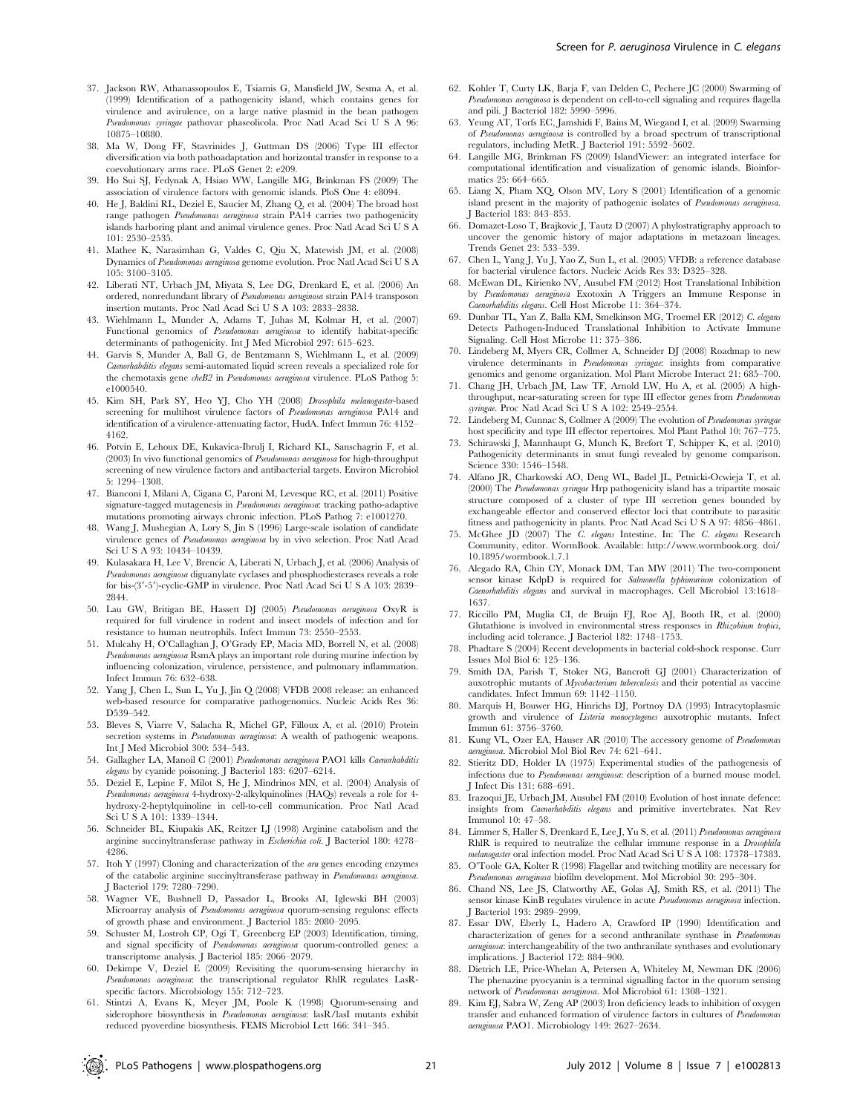- 37. Jackson RW, Athanassopoulos E, Tsiamis G, Mansfield JW, Sesma A, et al. (1999) Identification of a pathogenicity island, which contains genes for virulence and avirulence, on a large native plasmid in the bean pathogen Pseudomonas syringae pathovar phaseolicola. Proc Natl Acad Sci U S A 96: 10875–10880.
- 38. Ma W, Dong FF, Stavrinides J, Guttman DS (2006) Type III effector diversification via both pathoadaptation and horizontal transfer in response to a coevolutionary arms race. PLoS Genet 2: e209.
- 39. Ho Sui SJ, Fedynak A, Hsiao WW, Langille MG, Brinkman FS (2009) The association of virulence factors with genomic islands. PloS One 4: e8094.
- 40. He J, Baldini RL, Deziel E, Saucier M, Zhang Q, et al. (2004) The broad host range pathogen Pseudomonas aeruginosa strain PA14 carries two pathogenicity islands harboring plant and animal virulence genes. Proc Natl Acad Sci U S A 101: 2530–2535.
- 41. Mathee K, Narasimhan G, Valdes C, Qiu X, Matewish JM, et al. (2008) Dynamics of Pseudomonas aeruginosa genome evolution. Proc Natl Acad Sci U S A 105: 3100–3105.
- 42. Liberati NT, Urbach JM, Miyata S, Lee DG, Drenkard E, et al. (2006) An ordered, nonredundant library of Pseudomonas aeruginosa strain PA14 transposon insertion mutants. Proc Natl Acad Sci U S A 103: 2833–2838.
- 43. Wiehlmann L, Munder A, Adams T, Juhas M, Kolmar H, et al. (2007) Functional genomics of Pseudomonas aeruginosa to identify habitat-specific determinants of pathogenicity. Int J Med Microbiol 297: 615–623.
- 44. Garvis S, Munder A, Ball G, de Bentzmann S, Wiehlmann L, et al. (2009) Caenorhabditis elegans semi-automated liquid screen reveals a specialized role for the chemotaxis gene cheB2 in Pseudomonas aeruginosa virulence. PLoS Pathog 5: e1000540.
- 45. Kim SH, Park SY, Heo YJ, Cho YH (2008) Drosophila melanogaster-based screening for multihost virulence factors of *Pseudomonas aeruginosa* PA14 and identification of a virulence-attenuating factor, HudA. Infect Immun 76: 4152– 4162.
- 46. Potvin E, Lehoux DE, Kukavica-Ibrulj I, Richard KL, Sanschagrin F, et al. (2003) In vivo functional genomics of Pseudomonas aeruginosa for high-throughput screening of new virulence factors and antibacterial targets. Environ Microbiol 5: 1294–1308.
- 47. Bianconi I, Milani A, Cigana C, Paroni M, Levesque RC, et al. (2011) Positive signature-tagged mutagenesis in Pseudomonas aeruginosa: tracking patho-adaptive mutations promoting airways chronic infection. PLoS Pathog 7: e1001270.
- 48. Wang J, Mushegian A, Lory S, Jin S (1996) Large-scale isolation of candidate virulence genes of Pseudomonas aeruginosa by in vivo selection. Proc Natl Acad Sci U S A 93: 10434–10439.
- 49. Kulasakara H, Lee V, Brencic A, Liberati N, Urbach J, et al. (2006) Analysis of Pseudomonas aeruginosa diguanylate cyclases and phosphodiesterases reveals a role for bis-(3'-5')-cyclic-GMP in virulence. Proc Natl Acad Sci U S A 103: 2839-2844.
- 50. Lau GW, Britigan BE, Hassett DJ (2005) Pseudomonas aeruginosa OxyR is required for full virulence in rodent and insect models of infection and for resistance to human neutrophils. Infect Immun 73: 2550–2553.
- 51. Mulcahy H, O'Callaghan J, O'Grady EP, Macia MD, Borrell N, et al. (2008) Pseudomonas aeruginosa RsmA plays an important role during murine infection by influencing colonization, virulence, persistence, and pulmonary inflammation. Infect Immun 76: 632–638.
- 52. Yang J, Chen L, Sun L, Yu J, Jin Q (2008) VFDB 2008 release: an enhanced web-based resource for comparative pathogenomics. Nucleic Acids Res 36: D539–542.
- 53. Bleves S, Viarre V, Salacha R, Michel GP, Filloux A, et al. (2010) Protein secretion systems in Pseudomonas aeruginosa: A wealth of pathogenic weapons. Int J Med Microbiol 300: 534–543.
- 54. Gallagher LA, Manoil C (2001) Pseudomonas aeruginosa PAO1 kills Caenorhabditis elegans by cyanide poisoning. J Bacteriol 183: 6207–6214.
- 55. Deziel E, Lepine F, Milot S, He J, Mindrinos MN, et al. (2004) Analysis of Pseudomonas aeruginosa 4-hydroxy-2-alkylquinolines (HAQs) reveals a role for 4 hydroxy-2-heptylquinoline in cell-to-cell communication. Proc Natl Acad Sci U S A 101: 1339–1344.
- 56. Schneider BL, Kiupakis AK, Reitzer LJ (1998) Arginine catabolism and the arginine succinyltransferase pathway in Escherichia coli. J Bacteriol 180: 4278– 4286.
- 57. Itoh Y (1997) Cloning and characterization of the aru genes encoding enzymes of the catabolic arginine succinyltransferase pathway in Pseudomonas aeruginosa. J Bacteriol 179: 7280–7290.
- 58. Wagner VE, Bushnell D, Passador L, Brooks AI, Iglewski BH (2003) Microarray analysis of Pseudomonas aeruginosa quorum-sensing regulons: effects of growth phase and environment. J Bacteriol 185: 2080–2095.
- 59. Schuster M, Lostroh CP, Ogi T, Greenberg EP (2003) Identification, timing, and signal specificity of Pseudomonas aeruginosa quorum-controlled genes: a transcriptome analysis. J Bacteriol 185: 2066–2079.
- 60. Dekimpe V, Deziel E (2009) Revisiting the quorum-sensing hierarchy in Pseudomonas aeruginosa: the transcriptional regulator RhlR regulates LasRspecific factors. Microbiology 155: 712–723.
- 61. Stintzi A, Evans K, Meyer JM, Poole K (1998) Quorum-sensing and siderophore biosynthesis in Pseudomonas aeruginosa: lasR/lasI mutants exhibit reduced pyoverdine biosynthesis. FEMS Microbiol Lett 166: 341–345.
- 62. Kohler T, Curty LK, Barja F, van Delden C, Pechere JC (2000) Swarming of Pseudomonas aeruginosa is dependent on cell-to-cell signaling and requires flagella and pili. J Bacteriol 182: 5990–5996.
- 63. Yeung AT, Torfs EC, Jamshidi F, Bains M, Wiegand I, et al. (2009) Swarming of Pseudomonas aeruginosa is controlled by a broad spectrum of transcriptional regulators, including MetR. J Bacteriol 191: 5592–5602.
- 64. Langille MG, Brinkman FS (2009) IslandViewer: an integrated interface for computational identification and visualization of genomic islands. Bioinformatics 25: 664–665.
- 65. Liang X, Pham XQ, Olson MV, Lory S (2001) Identification of a genomic island present in the majority of pathogenic isolates of Pseudomonas aeruginosa. J Bacteriol 183: 843–853.
- 66. Domazet-Loso T, Brajkovic J, Tautz D (2007) A phylostratigraphy approach to uncover the genomic history of major adaptations in metazoan lineages. Trends Genet 23: 533–539.
- 67. Chen L, Yang J, Yu J, Yao Z, Sun L, et al. (2005) VFDB: a reference database for bacterial virulence factors. Nucleic Acids Res 33: D325–328.
- 68. McEwan DL, Kirienko NV, Ausubel FM (2012) Host Translational Inhibition by Pseudomonas aeruginosa Exotoxin A Triggers an Immune Response in Caenorhabditis elegans. Cell Host Microbe 11: 364–374.
- 69. Dunbar TL, Yan Z, Balla KM, Smelkinson MG, Troemel ER (2012) C. elegans Detects Pathogen-Induced Translational Inhibition to Activate Immune Signaling. Cell Host Microbe 11: 375–386.
- 70. Lindeberg M, Myers CR, Collmer A, Schneider DJ (2008) Roadmap to new virulence determinants in Pseudomonas syringae: insights from comparative genomics and genome organization. Mol Plant Microbe Interact 21: 685–700.
- 71. Chang JH, Urbach JM, Law TF, Arnold LW, Hu A, et al. (2005) A highthroughput, near-saturating screen for type III effector genes from Pseudomonas syringae. Proc Natl Acad Sci U S A 102: 2549–2554.
- 72. Lindeberg M, Cunnac S, Collmer A (2009) The evolution of Pseudomonas syringae host specificity and type III effector repertoires. Mol Plant Pathol 10: 767–775.
- 73. Schirawski J, Mannhaupt G, Munch K, Brefort T, Schipper K, et al. (2010) Pathogenicity determinants in smut fungi revealed by genome comparison. Science 330: 1546–1548.
- 74. Alfano JR, Charkowski AO, Deng WL, Badel JL, Petnicki-Ocwieja T, et al. (2000) The Pseudomonas syringae Hrp pathogenicity island has a tripartite mosaic structure composed of a cluster of type III secretion genes bounded by exchangeable effector and conserved effector loci that contribute to parasitic fitness and pathogenicity in plants. Proc Natl Acad Sci U S A 97: 4856–4861.
- McGhee JD (2007) The C. elegans Intestine. In: The C. elegans Research Community, editor. WormBook. Available: http://www.wormbook.org. doi/ 10.1895/wormbook.1.7.1
- 76. Alegado RA, Chin CY, Monack DM, Tan MW (2011) The two-component sensor kinase KdpD is required for Salmonella typhimurium colonization of Caenorhabditis elegans and survival in macrophages. Cell Microbiol 13:1618– 1637.
- 77. Riccillo PM, Muglia CI, de Bruijn FJ, Roe AJ, Booth IR, et al. (2000) Glutathione is involved in environmental stress responses in Rhizobium tropici, including acid tolerance. J Bacteriol 182: 1748–1753.
- Phadtare S (2004) Recent developments in bacterial cold-shock response. Curr Issues Mol Biol 6: 125–136.
- 79. Smith DA, Parish T, Stoker NG, Bancroft GJ (2001) Characterization of auxotrophic mutants of Mycobacterium tuberculosis and their potential as vaccine candidates. Infect Immun 69: 1142–1150.
- 80. Marquis H, Bouwer HG, Hinrichs DJ, Portnoy DA (1993) Intracytoplasmic growth and virulence of Listeria monocytogenes auxotrophic mutants. Infect Immun 61: 3756–3760.
- 81. Kung VL, Ozer EA, Hauser AR (2010) The accessory genome of Pseudomonas aeruginosa. Microbiol Mol Biol Rev 74: 621–641.
- 82. Stieritz DD, Holder IA (1975) Experimental studies of the pathogenesis of infections due to Pseudomonas aeruginosa: description of a burned mouse model. J Infect Dis 131: 688–691.
- 83. Irazoqui JE, Urbach JM, Ausubel FM (2010) Evolution of host innate defence: insights from Caenorhabditis elegans and primitive invertebrates. Nat Rev Immunol 10: 47–58.
- 84. Limmer S, Haller S, Drenkard E, Lee J, Yu S, et al. (2011) Pseudomonas aeruginosa RhlR is required to neutralize the cellular immune response in a Drosophila melanogaster oral infection model. Proc Natl Acad Sci U S A 108: 17378–17383.
- 85. O'Toole GA, Kolter R (1998) Flagellar and twitching motility are necessary for Pseudomonas aeruginosa biofilm development. Mol Microbiol 30: 295–304.
- 86. Chand NS, Lee JS, Clatworthy AE, Golas AJ, Smith RS, et al. (2011) The sensor kinase KinB regulates virulence in acute Pseudomonas aeruginosa infection. J Bacteriol 193: 2989–2999.
- 87. Essar DW, Eberly L, Hadero A, Crawford IP (1990) Identification and characterization of genes for a second anthranilate synthase in Pseudomonas aeruginosa: interchangeability of the two anthranilate synthases and evolutionary implications. J Bacteriol 172: 884–900.
- 88. Dietrich LE, Price-Whelan A, Petersen A, Whiteley M, Newman DK (2006) The phenazine pyocyanin is a terminal signalling factor in the quorum sensing network of Pseudomonas aeruginosa. Mol Microbiol 61: 1308–1321.
- 89. Kim EJ, Sabra W, Zeng AP (2003) Iron deficiency leads to inhibition of oxygen transfer and enhanced formation of virulence factors in cultures of Pseudomonas aeruginosa PAO1. Microbiology 149: 2627–2634.